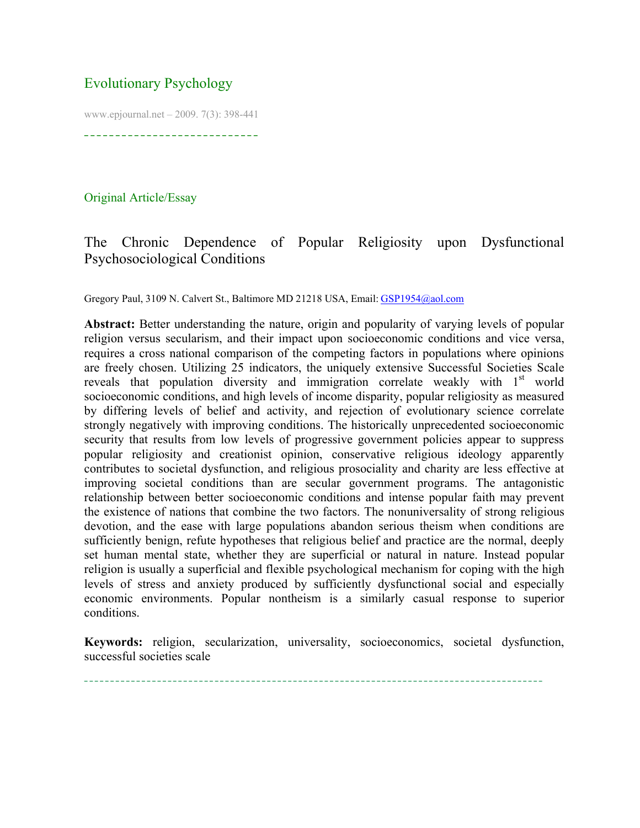# Evolutionary Psychology

www.epjournal.net – 2009. 7(3): 398-441

 $\tilde{\mathcal{J}}$  ,  $\tilde{\mathcal{J}}$  ,  $\tilde{\mathcal{J}}$  ,  $\tilde{\mathcal{J}}$  ,  $\tilde{\mathcal{J}}$  ,  $\tilde{\mathcal{J}}$  ,  $\tilde{\mathcal{J}}$  ,  $\tilde{\mathcal{J}}$  ,  $\tilde{\mathcal{J}}$  ,  $\tilde{\mathcal{J}}$  ,  $\tilde{\mathcal{J}}$  ,  $\tilde{\mathcal{J}}$  ,  $\tilde{\mathcal{J}}$  ,  $\tilde{\mathcal{J}}$  ,  $\tilde{\mathcal{J}}$  ,  $\tilde{\mathcal{J}}$ 

## Original Article/Essay

# The Chronic Dependence of Popular Religiosity upon Dysfunctional Psychosociological Conditions

Gregory Paul, 3109 N. Calvert St., Baltimore MD 21218 USA, Email: [GSP1954@aol.com](mailto:GSP1954@aol.com)

**Abstract:** Better understanding the nature, origin and popularity of varying levels of popular religion versus secularism, and their impact upon socioeconomic conditions and vice versa, requires a cross national comparison of the competing factors in populations where opinions are freely chosen. Utilizing 25 indicators, the uniquely extensive Successful Societies Scale reveals that population diversity and immigration correlate weakly with  $1<sup>st</sup>$  world socioeconomic conditions, and high levels of income disparity, popular religiosity as measured by differing levels of belief and activity, and rejection of evolutionary science correlate strongly negatively with improving conditions. The historically unprecedented socioeconomic security that results from low levels of progressive government policies appear to suppress popular religiosity and creationist opinion, conservative religious ideology apparently contributes to societal dysfunction, and religious prosociality and charity are less effective at improving societal conditions than are secular government programs. The antagonistic relationship between better socioeconomic conditions and intense popular faith may prevent the existence of nations that combine the two factors. The nonuniversality of strong religious devotion, and the ease with large populations abandon serious theism when conditions are sufficiently benign, refute hypotheses that religious belief and practice are the normal, deeply set human mental state, whether they are superficial or natural in nature. Instead popular religion is usually a superficial and flexible psychological mechanism for coping with the high levels of stress and anxiety produced by sufficiently dysfunctional social and especially economic environments. Popular nontheism is a similarly casual response to superior conditions.

**Keywords:** religion, secularization, universality, socioeconomics, societal dysfunction, successful societies scale

**¯ ¯ ¯ ¯ ¯ ¯ ¯ ¯ ¯ ¯ ¯ ¯ ¯ ¯ ¯ ¯ ¯ ¯ ¯ ¯ ¯ ¯ ¯ ¯ ¯ ¯ ¯ ¯ ¯ ¯ ¯ ¯ ¯ ¯ ¯ ¯ ¯ ¯ ¯ ¯ ¯ ¯ ¯ ¯ ¯ ¯ ¯ ¯ ¯ ¯ ¯ ¯ ¯ ¯ ¯ ¯ ¯ ¯ ¯ ¯ ¯ ¯ ¯ ¯ ¯ ¯ ¯ ¯ ¯ ¯ ¯ ¯ ¯ ¯ ¯ ¯ ¯ ¯ ¯ ¯ ¯ ¯ ¯ ¯ ¯ ¯ ¯ ¯**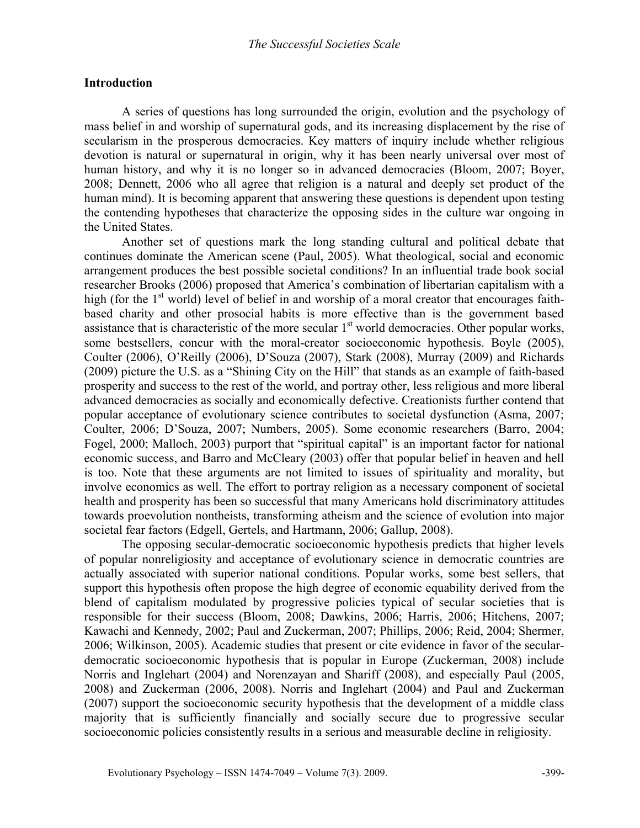## **Introduction**

A series of questions has long surrounded the origin, evolution and the psychology of mass belief in and worship of supernatural gods, and its increasing displacement by the rise of secularism in the prosperous democracies. Key matters of inquiry include whether religious devotion is natural or supernatural in origin, why it has been nearly universal over most of human history, and why it is no longer so in advanced democracies (Bloom, 2007; Boyer, 2008; Dennett, 2006 who all agree that religion is a natural and deeply set product of the human mind). It is becoming apparent that answering these questions is dependent upon testing the contending hypotheses that characterize the opposing sides in the culture war ongoing in the United States.

Another set of questions mark the long standing cultural and political debate that continues dominate the American scene (Paul, 2005). What theological, social and economic arrangement produces the best possible societal conditions? In an influential trade book social researcher Brooks (2006) proposed that America's combination of libertarian capitalism with a high (for the  $1<sup>st</sup>$  world) level of belief in and worship of a moral creator that encourages faithbased charity and other prosocial habits is more effective than is the government based assistance that is characteristic of the more secular  $1<sup>st</sup>$  world democracies. Other popular works, some bestsellers, concur with the moral-creator socioeconomic hypothesis. Boyle (2005), Coulter (2006), O'Reilly (2006), D'Souza (2007), Stark (2008), Murray (2009) and Richards (2009) picture the U.S. as a "Shining City on the Hill" that stands as an example of faith-based prosperity and success to the rest of the world, and portray other, less religious and more liberal advanced democracies as socially and economically defective. Creationists further contend that popular acceptance of evolutionary science contributes to societal dysfunction (Asma, 2007; Coulter, 2006; D'Souza, 2007; Numbers, 2005). Some economic researchers (Barro, 2004; Fogel, 2000; Malloch, 2003) purport that "spiritual capital" is an important factor for national economic success, and Barro and McCleary (2003) offer that popular belief in heaven and hell is too. Note that these arguments are not limited to issues of spirituality and morality, but involve economics as well. The effort to portray religion as a necessary component of societal health and prosperity has been so successful that many Americans hold discriminatory attitudes towards proevolution nontheists, transforming atheism and the science of evolution into major societal fear factors (Edgell, Gertels, and Hartmann, 2006; Gallup, 2008).

The opposing secular-democratic socioeconomic hypothesis predicts that higher levels of popular nonreligiosity and acceptance of evolutionary science in democratic countries are actually associated with superior national conditions. Popular works, some best sellers, that support this hypothesis often propose the high degree of economic equability derived from the blend of capitalism modulated by progressive policies typical of secular societies that is responsible for their success (Bloom, 2008; Dawkins, 2006; Harris, 2006; Hitchens, 2007; Kawachi and Kennedy, 2002; Paul and Zuckerman, 2007; Phillips, 2006; Reid, 2004; Shermer, 2006; Wilkinson, 2005). Academic studies that present or cite evidence in favor of the seculardemocratic socioeconomic hypothesis that is popular in Europe (Zuckerman, 2008) include Norris and Inglehart (2004) and Norenzayan and Shariff (2008), and especially Paul (2005, 2008) and Zuckerman (2006, 2008). Norris and Inglehart (2004) and Paul and Zuckerman (2007) support the socioeconomic security hypothesis that the development of a middle class majority that is sufficiently financially and socially secure due to progressive secular socioeconomic policies consistently results in a serious and measurable decline in religiosity.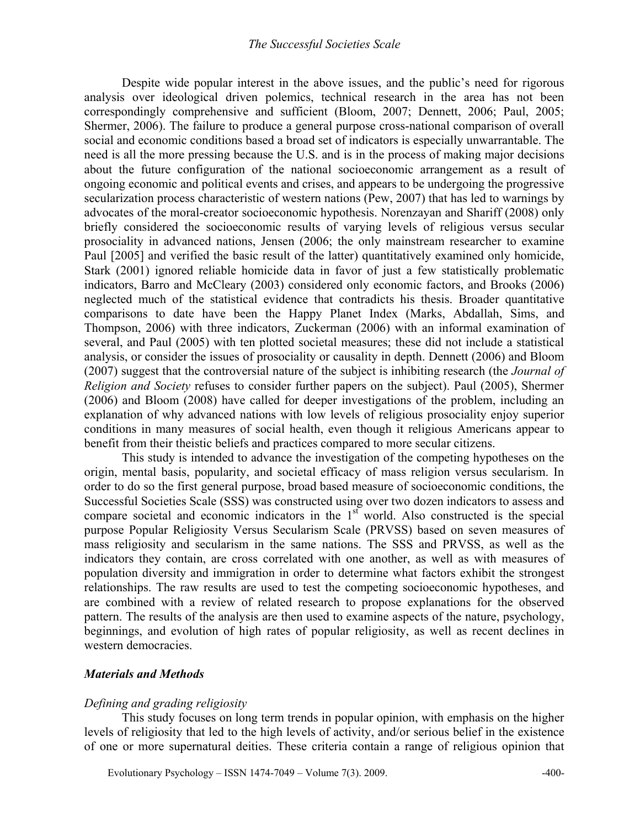Despite wide popular interest in the above issues, and the public's need for rigorous analysis over ideological driven polemics, technical research in the area has not been correspondingly comprehensive and sufficient (Bloom, 2007; Dennett, 2006; Paul, 2005; Shermer, 2006). The failure to produce a general purpose cross-national comparison of overall social and economic conditions based a broad set of indicators is especially unwarrantable. The need is all the more pressing because the U.S. and is in the process of making major decisions about the future configuration of the national socioeconomic arrangement as a result of ongoing economic and political events and crises, and appears to be undergoing the progressive secularization process characteristic of western nations (Pew, 2007) that has led to warnings by advocates of the moral-creator socioeconomic hypothesis. Norenzayan and Shariff (2008) only briefly considered the socioeconomic results of varying levels of religious versus secular prosociality in advanced nations, Jensen (2006; the only mainstream researcher to examine Paul [2005] and verified the basic result of the latter) quantitatively examined only homicide, Stark (2001) ignored reliable homicide data in favor of just a few statistically problematic indicators, Barro and McCleary (2003) considered only economic factors, and Brooks (2006) neglected much of the statistical evidence that contradicts his thesis. Broader quantitative comparisons to date have been the Happy Planet Index (Marks, Abdallah, Sims, and Thompson, 2006) with three indicators, Zuckerman (2006) with an informal examination of several, and Paul (2005) with ten plotted societal measures; these did not include a statistical analysis, or consider the issues of prosociality or causality in depth. Dennett (2006) and Bloom (2007) suggest that the controversial nature of the subject is inhibiting research (the *Journal of Religion and Society* refuses to consider further papers on the subject). Paul (2005), Shermer (2006) and Bloom (2008) have called for deeper investigations of the problem, including an explanation of why advanced nations with low levels of religious prosociality enjoy superior conditions in many measures of social health, even though it religious Americans appear to benefit from their theistic beliefs and practices compared to more secular citizens.

This study is intended to advance the investigation of the competing hypotheses on the origin, mental basis, popularity, and societal efficacy of mass religion versus secularism. In order to do so the first general purpose, broad based measure of socioeconomic conditions, the Successful Societies Scale (SSS) was constructed using over two dozen indicators to assess and compare societal and economic indicators in the  $1<sup>st</sup>$  world. Also constructed is the special purpose Popular Religiosity Versus Secularism Scale (PRVSS) based on seven measures of mass religiosity and secularism in the same nations. The SSS and PRVSS, as well as the indicators they contain, are cross correlated with one another, as well as with measures of population diversity and immigration in order to determine what factors exhibit the strongest relationships. The raw results are used to test the competing socioeconomic hypotheses, and are combined with a review of related research to propose explanations for the observed pattern. The results of the analysis are then used to examine aspects of the nature, psychology, beginnings, and evolution of high rates of popular religiosity, as well as recent declines in western democracies.

## *Materials and Methods*

#### *Defining and grading religiosity*

This study focuses on long term trends in popular opinion, with emphasis on the higher levels of religiosity that led to the high levels of activity, and/or serious belief in the existence of one or more supernatural deities. These criteria contain a range of religious opinion that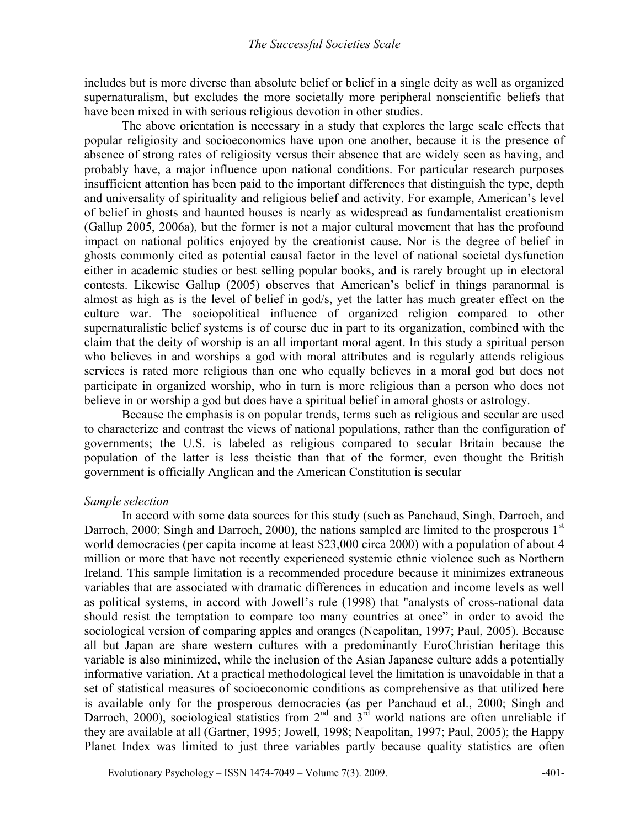includes but is more diverse than absolute belief or belief in a single deity as well as organized supernaturalism, but excludes the more societally more peripheral nonscientific beliefs that have been mixed in with serious religious devotion in other studies.

The above orientation is necessary in a study that explores the large scale effects that popular religiosity and socioeconomics have upon one another, because it is the presence of absence of strong rates of religiosity versus their absence that are widely seen as having, and probably have, a major influence upon national conditions. For particular research purposes insufficient attention has been paid to the important differences that distinguish the type, depth and universality of spirituality and religious belief and activity. For example, American's level of belief in ghosts and haunted houses is nearly as widespread as fundamentalist creationism (Gallup 2005, 2006a), but the former is not a major cultural movement that has the profound impact on national politics enjoyed by the creationist cause. Nor is the degree of belief in ghosts commonly cited as potential causal factor in the level of national societal dysfunction either in academic studies or best selling popular books, and is rarely brought up in electoral contests. Likewise Gallup (2005) observes that American's belief in things paranormal is almost as high as is the level of belief in god/s, yet the latter has much greater effect on the culture war. The sociopolitical influence of organized religion compared to other supernaturalistic belief systems is of course due in part to its organization, combined with the claim that the deity of worship is an all important moral agent. In this study a spiritual person who believes in and worships a god with moral attributes and is regularly attends religious services is rated more religious than one who equally believes in a moral god but does not participate in organized worship, who in turn is more religious than a person who does not believe in or worship a god but does have a spiritual belief in amoral ghosts or astrology.

Because the emphasis is on popular trends, terms such as religious and secular are used to characterize and contrast the views of national populations, rather than the configuration of governments; the U.S. is labeled as religious compared to secular Britain because the population of the latter is less theistic than that of the former, even thought the British government is officially Anglican and the American Constitution is secular

## *Sample selection*

In accord with some data sources for this study (such as Panchaud, Singh, Darroch, and Darroch, 2000; Singh and Darroch, 2000), the nations sampled are limited to the prosperous  $1<sup>st</sup>$ world democracies (per capita income at least \$23,000 circa 2000) with a population of about 4 million or more that have not recently experienced systemic ethnic violence such as Northern Ireland. This sample limitation is a recommended procedure because it minimizes extraneous variables that are associated with dramatic differences in education and income levels as well as political systems, in accord with Jowell's rule (1998) that "analysts of cross-national data should resist the temptation to compare too many countries at once" in order to avoid the sociological version of comparing apples and oranges (Neapolitan, 1997; Paul, 2005). Because all but Japan are share western cultures with a predominantly EuroChristian heritage this variable is also minimized, while the inclusion of the Asian Japanese culture adds a potentially informative variation. At a practical methodological level the limitation is unavoidable in that a set of statistical measures of socioeconomic conditions as comprehensive as that utilized here is available only for the prosperous democracies (as per Panchaud et al., 2000; Singh and Darroch, 2000), sociological statistics from  $2<sup>nd</sup>$  and  $3<sup>rd</sup>$  world nations are often unreliable if they are available at all (Gartner, 1995; Jowell, 1998; Neapolitan, 1997; Paul, 2005); the Happy Planet Index was limited to just three variables partly because quality statistics are often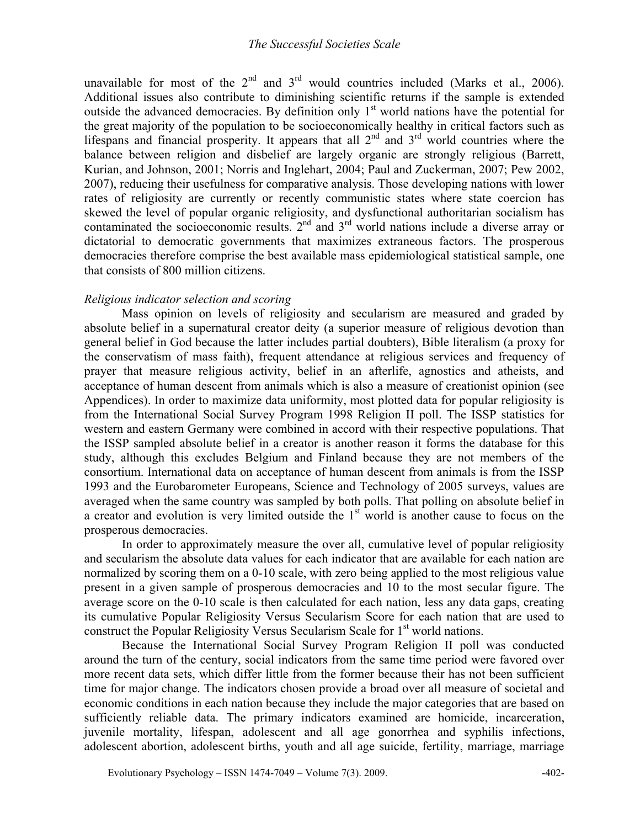unavailable for most of the  $2<sup>nd</sup>$  and  $3<sup>rd</sup>$  would countries included (Marks et al., 2006). Additional issues also contribute to diminishing scientific returns if the sample is extended outside the advanced democracies. By definition only  $1<sup>st</sup>$  world nations have the potential for the great majority of the population to be socioeconomically healthy in critical factors such as lifespans and financial prosperity. It appears that all  $2<sup>nd</sup>$  and  $3<sup>rd</sup>$  world countries where the balance between religion and disbelief are largely organic are strongly religious (Barrett, Kurian, and Johnson, 2001; Norris and Inglehart, 2004; Paul and Zuckerman, 2007; Pew 2002, 2007), reducing their usefulness for comparative analysis. Those developing nations with lower rates of religiosity are currently or recently communistic states where state coercion has skewed the level of popular organic religiosity, and dysfunctional authoritarian socialism has contaminated the socioeconomic results. 2<sup>nd</sup> and 3<sup>rd</sup> world nations include a diverse array or dictatorial to democratic governments that maximizes extraneous factors. The prosperous democracies therefore comprise the best available mass epidemiological statistical sample, one that consists of 800 million citizens.

#### *Religious indicator selection and scoring*

Mass opinion on levels of religiosity and secularism are measured and graded by absolute belief in a supernatural creator deity (a superior measure of religious devotion than general belief in God because the latter includes partial doubters), Bible literalism (a proxy for the conservatism of mass faith), frequent attendance at religious services and frequency of prayer that measure religious activity, belief in an afterlife, agnostics and atheists, and acceptance of human descent from animals which is also a measure of creationist opinion (see Appendices). In order to maximize data uniformity, most plotted data for popular religiosity is from the International Social Survey Program 1998 Religion II poll. The ISSP statistics for western and eastern Germany were combined in accord with their respective populations. That the ISSP sampled absolute belief in a creator is another reason it forms the database for this study, although this excludes Belgium and Finland because they are not members of the consortium. International data on acceptance of human descent from animals is from the ISSP 1993 and the Eurobarometer Europeans, Science and Technology of 2005 surveys, values are averaged when the same country was sampled by both polls. That polling on absolute belief in a creator and evolution is very limited outside the 1<sup>st</sup> world is another cause to focus on the prosperous democracies.

In order to approximately measure the over all, cumulative level of popular religiosity and secularism the absolute data values for each indicator that are available for each nation are normalized by scoring them on a 0-10 scale, with zero being applied to the most religious value present in a given sample of prosperous democracies and 10 to the most secular figure. The average score on the 0-10 scale is then calculated for each nation, less any data gaps, creating its cumulative Popular Religiosity Versus Secularism Score for each nation that are used to construct the Popular Religiosity Versus Secularism Scale for  $1<sup>st</sup>$  world nations.

Because the International Social Survey Program Religion II poll was conducted around the turn of the century, social indicators from the same time period were favored over more recent data sets, which differ little from the former because their has not been sufficient time for major change. The indicators chosen provide a broad over all measure of societal and economic conditions in each nation because they include the major categories that are based on sufficiently reliable data. The primary indicators examined are homicide, incarceration, juvenile mortality, lifespan, adolescent and all age gonorrhea and syphilis infections, adolescent abortion, adolescent births, youth and all age suicide, fertility, marriage, marriage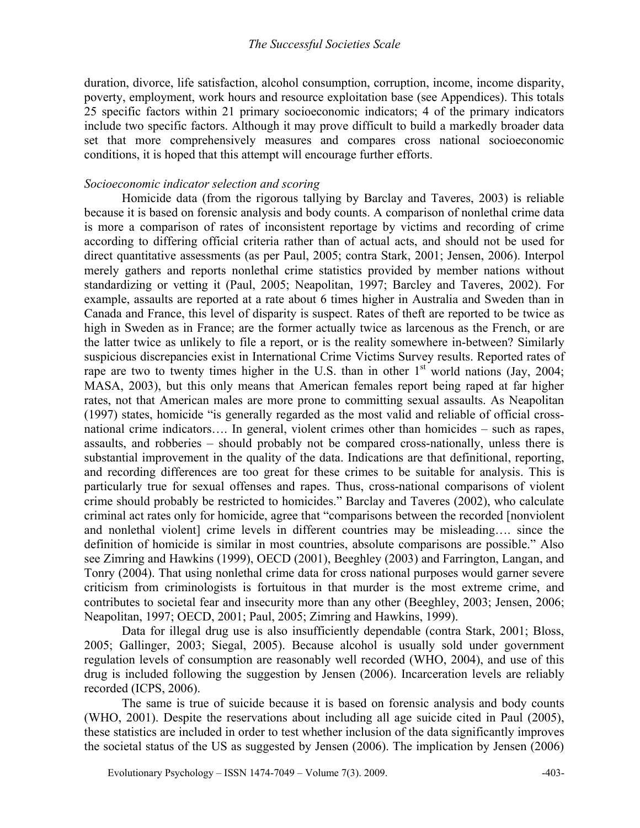duration, divorce, life satisfaction, alcohol consumption, corruption, income, income disparity, poverty, employment, work hours and resource exploitation base (see Appendices). This totals 25 specific factors within 21 primary socioeconomic indicators; 4 of the primary indicators include two specific factors. Although it may prove difficult to build a markedly broader data set that more comprehensively measures and compares cross national socioeconomic conditions, it is hoped that this attempt will encourage further efforts.

## *Socioeconomic indicator selection and scoring*

Homicide data (from the rigorous tallying by Barclay and Taveres, 2003) is reliable because it is based on forensic analysis and body counts. A comparison of nonlethal crime data is more a comparison of rates of inconsistent reportage by victims and recording of crime according to differing official criteria rather than of actual acts, and should not be used for direct quantitative assessments (as per Paul, 2005; contra Stark, 2001; Jensen, 2006). Interpol merely gathers and reports nonlethal crime statistics provided by member nations without standardizing or vetting it (Paul, 2005; Neapolitan, 1997; Barcley and Taveres, 2002). For example, assaults are reported at a rate about 6 times higher in Australia and Sweden than in Canada and France, this level of disparity is suspect. Rates of theft are reported to be twice as high in Sweden as in France; are the former actually twice as larcenous as the French, or are the latter twice as unlikely to file a report, or is the reality somewhere in-between? Similarly suspicious discrepancies exist in International Crime Victims Survey results. Reported rates of rape are two to twenty times higher in the U.S. than in other  $1<sup>st</sup>$  world nations (Jay, 2004; MASA, 2003), but this only means that American females report being raped at far higher rates, not that American males are more prone to committing sexual assaults. As Neapolitan (1997) states, homicide "is generally regarded as the most valid and reliable of official crossnational crime indicators…. In general, violent crimes other than homicides – such as rapes, assaults, and robberies – should probably not be compared cross-nationally, unless there is substantial improvement in the quality of the data. Indications are that definitional, reporting, and recording differences are too great for these crimes to be suitable for analysis. This is particularly true for sexual offenses and rapes. Thus, cross-national comparisons of violent crime should probably be restricted to homicides." Barclay and Taveres (2002), who calculate criminal act rates only for homicide, agree that "comparisons between the recorded [nonviolent and nonlethal violent] crime levels in different countries may be misleading…. since the definition of homicide is similar in most countries, absolute comparisons are possible." Also see Zimring and Hawkins (1999), OECD (2001), Beeghley (2003) and Farrington, Langan, and Tonry (2004). That using nonlethal crime data for cross national purposes would garner severe criticism from criminologists is fortuitous in that murder is the most extreme crime, and contributes to societal fear and insecurity more than any other (Beeghley, 2003; Jensen, 2006; Neapolitan, 1997; OECD, 2001; Paul, 2005; Zimring and Hawkins, 1999).

Data for illegal drug use is also insufficiently dependable (contra Stark, 2001; Bloss, 2005; Gallinger, 2003; Siegal, 2005). Because alcohol is usually sold under government regulation levels of consumption are reasonably well recorded (WHO, 2004), and use of this drug is included following the suggestion by Jensen (2006). Incarceration levels are reliably recorded (ICPS, 2006).

The same is true of suicide because it is based on forensic analysis and body counts (WHO, 2001). Despite the reservations about including all age suicide cited in Paul (2005), these statistics are included in order to test whether inclusion of the data significantly improves the societal status of the US as suggested by Jensen (2006). The implication by Jensen (2006)

Evolutionary Psychology – ISSN  $1474-7049$  – Volume 7(3). 2009.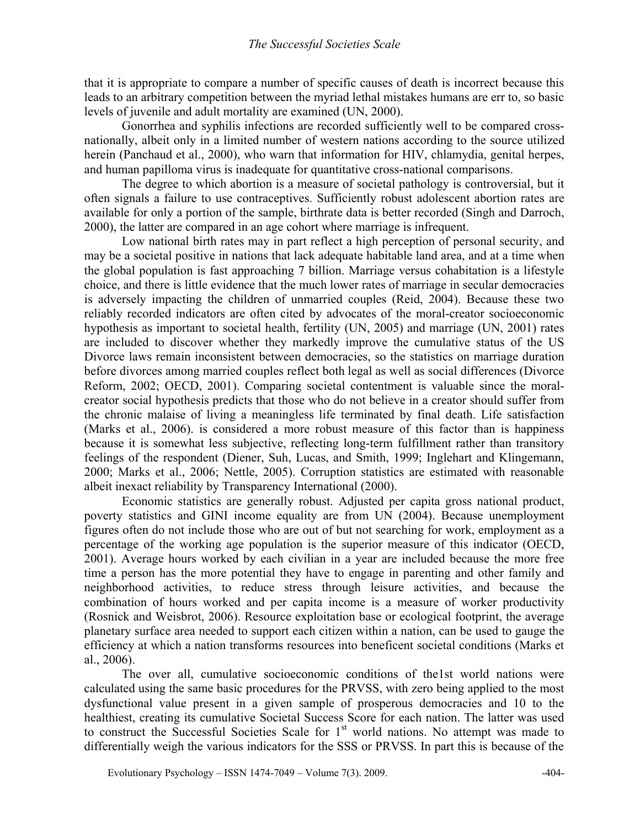that it is appropriate to compare a number of specific causes of death is incorrect because this leads to an arbitrary competition between the myriad lethal mistakes humans are err to, so basic levels of juvenile and adult mortality are examined (UN, 2000).

Gonorrhea and syphilis infections are recorded sufficiently well to be compared crossnationally, albeit only in a limited number of western nations according to the source utilized herein (Panchaud et al., 2000), who warn that information for HIV, chlamydia, genital herpes, and human papilloma virus is inadequate for quantitative cross-national comparisons.

The degree to which abortion is a measure of societal pathology is controversial, but it often signals a failure to use contraceptives. Sufficiently robust adolescent abortion rates are available for only a portion of the sample, birthrate data is better recorded (Singh and Darroch, 2000), the latter are compared in an age cohort where marriage is infrequent.

Low national birth rates may in part reflect a high perception of personal security, and may be a societal positive in nations that lack adequate habitable land area, and at a time when the global population is fast approaching 7 billion. Marriage versus cohabitation is a lifestyle choice, and there is little evidence that the much lower rates of marriage in secular democracies is adversely impacting the children of unmarried couples (Reid, 2004). Because these two reliably recorded indicators are often cited by advocates of the moral-creator socioeconomic hypothesis as important to societal health, fertility (UN, 2005) and marriage (UN, 2001) rates are included to discover whether they markedly improve the cumulative status of the US Divorce laws remain inconsistent between democracies, so the statistics on marriage duration before divorces among married couples reflect both legal as well as social differences (Divorce Reform, 2002; OECD, 2001). Comparing societal contentment is valuable since the moralcreator social hypothesis predicts that those who do not believe in a creator should suffer from the chronic malaise of living a meaningless life terminated by final death. Life satisfaction (Marks et al., 2006). is considered a more robust measure of this factor than is happiness because it is somewhat less subjective, reflecting long-term fulfillment rather than transitory feelings of the respondent (Diener, Suh, Lucas, and Smith, 1999; Inglehart and Klingemann, 2000; Marks et al., 2006; Nettle, 2005). Corruption statistics are estimated with reasonable albeit inexact reliability by Transparency International (2000).

Economic statistics are generally robust. Adjusted per capita gross national product, poverty statistics and GINI income equality are from UN (2004). Because unemployment figures often do not include those who are out of but not searching for work, employment as a percentage of the working age population is the superior measure of this indicator (OECD, 2001). Average hours worked by each civilian in a year are included because the more free time a person has the more potential they have to engage in parenting and other family and neighborhood activities, to reduce stress through leisure activities, and because the combination of hours worked and per capita income is a measure of worker productivity (Rosnick and Weisbrot, 2006). Resource exploitation base or ecological footprint, the average planetary surface area needed to support each citizen within a nation, can be used to gauge the efficiency at which a nation transforms resources into beneficent societal conditions (Marks et al., 2006).

The over all, cumulative socioeconomic conditions of the1st world nations were calculated using the same basic procedures for the PRVSS, with zero being applied to the most dysfunctional value present in a given sample of prosperous democracies and 10 to the healthiest, creating its cumulative Societal Success Score for each nation. The latter was used to construct the Successful Societies Scale for 1<sup>st</sup> world nations. No attempt was made to differentially weigh the various indicators for the SSS or PRVSS. In part this is because of the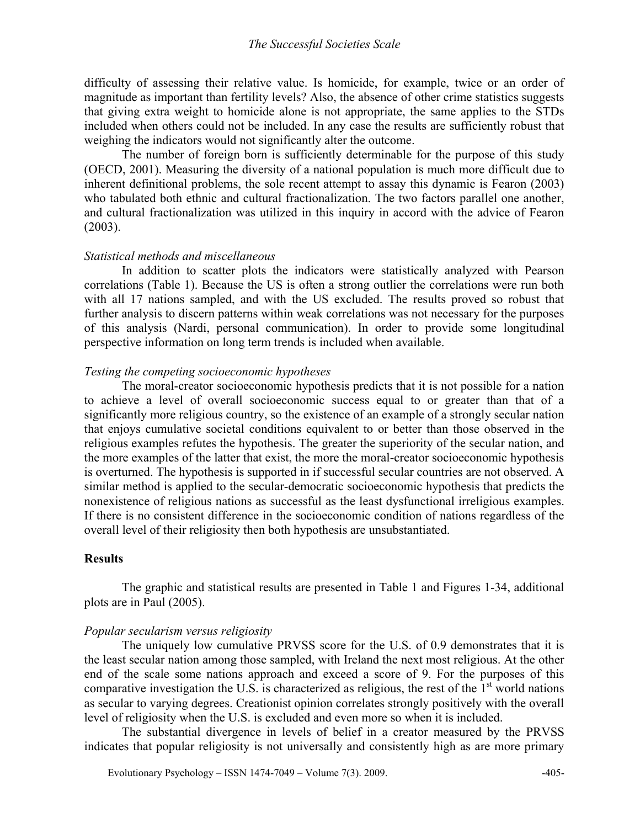difficulty of assessing their relative value. Is homicide, for example, twice or an order of magnitude as important than fertility levels? Also, the absence of other crime statistics suggests that giving extra weight to homicide alone is not appropriate, the same applies to the STDs included when others could not be included. In any case the results are sufficiently robust that weighing the indicators would not significantly alter the outcome.

The number of foreign born is sufficiently determinable for the purpose of this study (OECD, 2001). Measuring the diversity of a national population is much more difficult due to inherent definitional problems, the sole recent attempt to assay this dynamic is Fearon (2003) who tabulated both ethnic and cultural fractionalization. The two factors parallel one another, and cultural fractionalization was utilized in this inquiry in accord with the advice of Fearon (2003).

#### *Statistical methods and miscellaneous*

 In addition to scatter plots the indicators were statistically analyzed with Pearson correlations (Table 1). Because the US is often a strong outlier the correlations were run both with all 17 nations sampled, and with the US excluded. The results proved so robust that further analysis to discern patterns within weak correlations was not necessary for the purposes of this analysis (Nardi, personal communication). In order to provide some longitudinal perspective information on long term trends is included when available.

#### *Testing the competing socioeconomic hypotheses*

The moral-creator socioeconomic hypothesis predicts that it is not possible for a nation to achieve a level of overall socioeconomic success equal to or greater than that of a significantly more religious country, so the existence of an example of a strongly secular nation that enjoys cumulative societal conditions equivalent to or better than those observed in the religious examples refutes the hypothesis. The greater the superiority of the secular nation, and the more examples of the latter that exist, the more the moral-creator socioeconomic hypothesis is overturned. The hypothesis is supported in if successful secular countries are not observed. A similar method is applied to the secular-democratic socioeconomic hypothesis that predicts the nonexistence of religious nations as successful as the least dysfunctional irreligious examples. If there is no consistent difference in the socioeconomic condition of nations regardless of the overall level of their religiosity then both hypothesis are unsubstantiated.

## **Results**

The graphic and statistical results are presented in Table 1 and Figures 1-34, additional plots are in Paul (2005).

#### *Popular secularism versus religiosity*

 The uniquely low cumulative PRVSS score for the U.S. of 0.9 demonstrates that it is the least secular nation among those sampled, with Ireland the next most religious. At the other end of the scale some nations approach and exceed a score of 9. For the purposes of this comparative investigation the U.S. is characterized as religious, the rest of the  $1<sup>st</sup>$  world nations as secular to varying degrees. Creationist opinion correlates strongly positively with the overall level of religiosity when the U.S. is excluded and even more so when it is included.

The substantial divergence in levels of belief in a creator measured by the PRVSS indicates that popular religiosity is not universally and consistently high as are more primary

Evolutionary Psychology – ISSN  $1474-7049$  – Volume 7(3), 2009.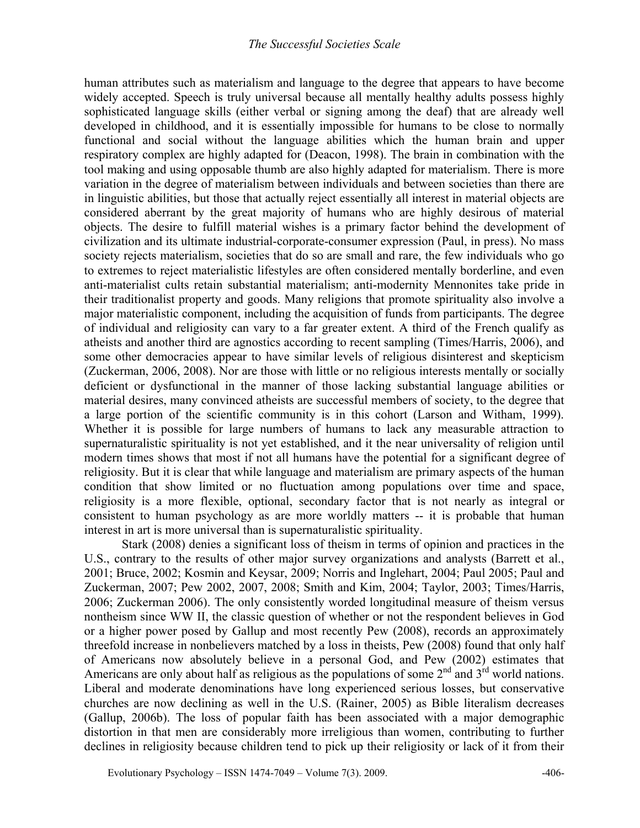human attributes such as materialism and language to the degree that appears to have become widely accepted. Speech is truly universal because all mentally healthy adults possess highly sophisticated language skills (either verbal or signing among the deaf) that are already well developed in childhood, and it is essentially impossible for humans to be close to normally functional and social without the language abilities which the human brain and upper respiratory complex are highly adapted for (Deacon, 1998). The brain in combination with the tool making and using opposable thumb are also highly adapted for materialism. There is more variation in the degree of materialism between individuals and between societies than there are in linguistic abilities, but those that actually reject essentially all interest in material objects are considered aberrant by the great majority of humans who are highly desirous of material objects. The desire to fulfill material wishes is a primary factor behind the development of civilization and its ultimate industrial-corporate-consumer expression (Paul, in press). No mass society rejects materialism, societies that do so are small and rare, the few individuals who go to extremes to reject materialistic lifestyles are often considered mentally borderline, and even anti-materialist cults retain substantial materialism; anti-modernity Mennonites take pride in their traditionalist property and goods. Many religions that promote spirituality also involve a major materialistic component, including the acquisition of funds from participants. The degree of individual and religiosity can vary to a far greater extent. A third of the French qualify as atheists and another third are agnostics according to recent sampling (Times/Harris, 2006), and some other democracies appear to have similar levels of religious disinterest and skepticism (Zuckerman, 2006, 2008). Nor are those with little or no religious interests mentally or socially deficient or dysfunctional in the manner of those lacking substantial language abilities or material desires, many convinced atheists are successful members of society, to the degree that a large portion of the scientific community is in this cohort (Larson and Witham, 1999). Whether it is possible for large numbers of humans to lack any measurable attraction to supernaturalistic spirituality is not yet established, and it the near universality of religion until modern times shows that most if not all humans have the potential for a significant degree of religiosity. But it is clear that while language and materialism are primary aspects of the human condition that show limited or no fluctuation among populations over time and space, religiosity is a more flexible, optional, secondary factor that is not nearly as integral or consistent to human psychology as are more worldly matters -- it is probable that human interest in art is more universal than is supernaturalistic spirituality.

 Stark (2008) denies a significant loss of theism in terms of opinion and practices in the U.S., contrary to the results of other major survey organizations and analysts (Barrett et al., 2001; Bruce, 2002; Kosmin and Keysar, 2009; Norris and Inglehart, 2004; Paul 2005; Paul and Zuckerman, 2007; Pew 2002, 2007, 2008; Smith and Kim, 2004; Taylor, 2003; Times/Harris, 2006; Zuckerman 2006). The only consistently worded longitudinal measure of theism versus nontheism since WW II, the classic question of whether or not the respondent believes in God or a higher power posed by Gallup and most recently Pew (2008), records an approximately threefold increase in nonbelievers matched by a loss in theists, Pew (2008) found that only half of Americans now absolutely believe in a personal God, and Pew (2002) estimates that Americans are only about half as religious as the populations of some  $2<sup>nd</sup>$  and  $3<sup>rd</sup>$  world nations. Liberal and moderate denominations have long experienced serious losses, but conservative churches are now declining as well in the U.S. (Rainer, 2005) as Bible literalism decreases (Gallup, 2006b). The loss of popular faith has been associated with a major demographic distortion in that men are considerably more irreligious than women, contributing to further declines in religiosity because children tend to pick up their religiosity or lack of it from their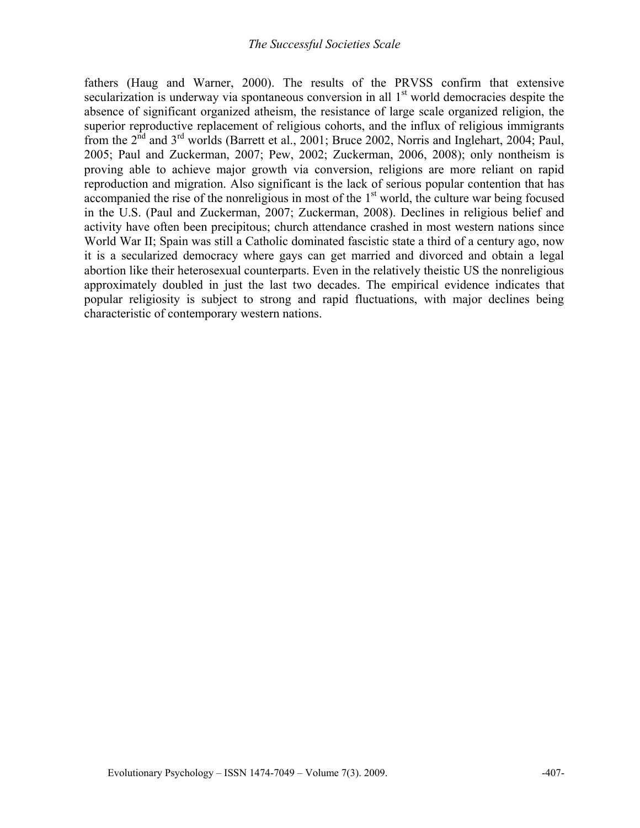fathers (Haug and Warner, 2000). The results of the PRVSS confirm that extensive secularization is underway via spontaneous conversion in all 1<sup>st</sup> world democracies despite the absence of significant organized atheism, the resistance of large scale organized religion, the superior reproductive replacement of religious cohorts, and the influx of religious immigrants from the 2<sup>nd</sup> and 3<sup>rd</sup> worlds (Barrett et al., 2001; Bruce 2002, Norris and Inglehart, 2004; Paul, 2005; Paul and Zuckerman, 2007; Pew, 2002; Zuckerman, 2006, 2008); only nontheism is proving able to achieve major growth via conversion, religions are more reliant on rapid reproduction and migration. Also significant is the lack of serious popular contention that has accompanied the rise of the nonreligious in most of the 1<sup>st</sup> world, the culture war being focused in the U.S. (Paul and Zuckerman, 2007; Zuckerman, 2008). Declines in religious belief and activity have often been precipitous; church attendance crashed in most western nations since World War II; Spain was still a Catholic dominated fascistic state a third of a century ago, now it is a secularized democracy where gays can get married and divorced and obtain a legal abortion like their heterosexual counterparts. Even in the relatively theistic US the nonreligious approximately doubled in just the last two decades. The empirical evidence indicates that popular religiosity is subject to strong and rapid fluctuations, with major declines being characteristic of contemporary western nations.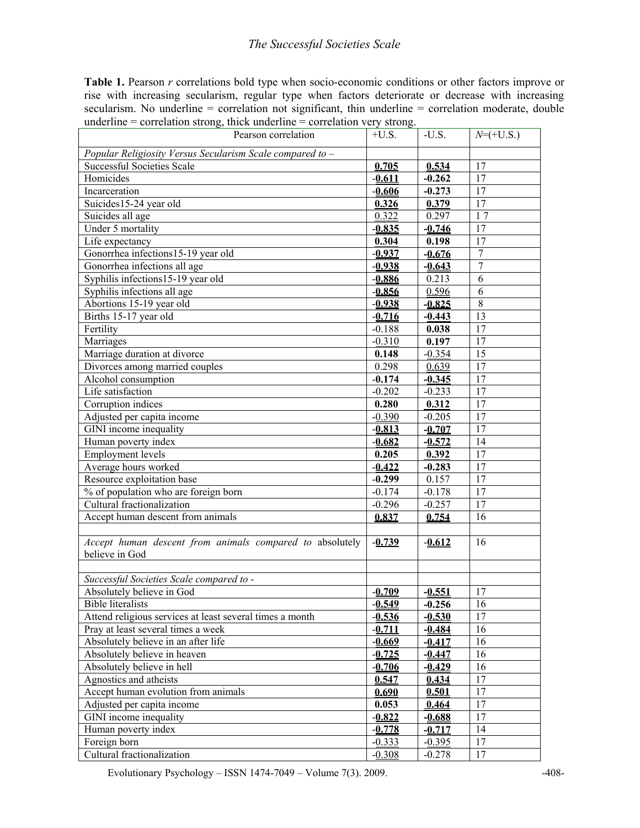Table 1. Pearson *r* correlations bold type when socio-economic conditions or other factors improve or rise with increasing secularism, regular type when factors deteriorate or decrease with increasing secularism. No underline = correlation not significant, thin underline = correlation moderate, double underline  $=$  correlation strong, thick underline  $=$  correlation very strong.

| Pearson correlation                                       | $+U.S.$  | $-U.S.$  | $N=(+U.S.)$    |
|-----------------------------------------------------------|----------|----------|----------------|
| Popular Religiosity Versus Secularism Scale compared to - |          |          |                |
| <b>Successful Societies Scale</b>                         | 0.705    | 0.534    | 17             |
| Homicides                                                 | $-0.611$ | $-0.262$ | 17             |
| Incarceration                                             | $-0.606$ | $-0.273$ | 17             |
| Suicides15-24 year old                                    | 0.326    | 0.379    | 17             |
| Suicides all age                                          | 0.322    | 0.297    | 17             |
| Under 5 mortality                                         | $-0.835$ | $-0.746$ | 17             |
| Life expectancy                                           | 0.304    | 0.198    | 17             |
| Gonorrhea infections15-19 year old                        | $-0.937$ | $-0.676$ | $\overline{7}$ |
| Gonorrhea infections all age                              | $-0.938$ | $-0.643$ | $\overline{7}$ |
| Syphilis infections15-19 year old                         | $-0.886$ | 0.213    | 6              |
| Syphilis infections all age                               | $-0.856$ | 0.596    | 6              |
| Abortions 15-19 year old                                  | $-0.938$ | $-0.825$ | $\,8\,$        |
| Births 15-17 year old                                     | $-0.716$ | $-0.443$ | 13             |
| Fertility                                                 | $-0.188$ | 0.038    | 17             |
| Marriages                                                 | $-0.310$ | 0.197    | 17             |
| Marriage duration at divorce                              | 0.148    | $-0.354$ | 15             |
| Divorces among married couples                            | 0.298    | 0.639    | 17             |
| Alcohol consumption                                       | $-0.174$ | $-0.345$ | 17             |
| Life satisfaction                                         | $-0.202$ | $-0.233$ | 17             |
| Corruption indices                                        | 0.280    | 0.312    | 17             |
| Adjusted per capita income                                | $-0.390$ | $-0.205$ | 17             |
| GINI income inequality                                    | $-0.813$ | $-0.707$ | 17             |
| Human poverty index                                       | $-0.682$ | $-0.572$ | 14             |
| <b>Employment</b> levels                                  | 0.205    | 0.392    | 17             |
| Average hours worked                                      | $-0.422$ | $-0.283$ | 17             |
| Resource exploitation base                                | $-0.299$ | 0.157    | 17             |
| % of population who are foreign born                      | $-0.174$ | $-0.178$ | 17             |
| Cultural fractionalization                                | $-0.296$ | $-0.257$ | 17             |
| Accept human descent from animals                         | 0.837    | 0.754    | 16             |
|                                                           |          |          |                |
| Accept human descent from animals compared to absolutely  | $-0.739$ | $-0.612$ | 16             |
| believe in God                                            |          |          |                |
|                                                           |          |          |                |
| Successful Societies Scale compared to -                  |          |          |                |
| Absolutely believe in God                                 | $-0.709$ | $-0.551$ | 17             |
| <b>Bible</b> literalists                                  | $-0.549$ | $-0.256$ | 16             |
| Attend religious services at least several times a month  | $-0.536$ | $-0.530$ | 17             |
| Pray at least several times a week                        | $-0.711$ | $-0.484$ | 16             |
| Absolutely believe in an after life                       | $-0.669$ | $-0.417$ | 16             |
| Absolutely believe in heaven                              | $-0.725$ | $-0.447$ | 16             |
| Absolutely believe in hell                                | $-0.706$ | $-0.429$ | 16             |
| Agnostics and atheists                                    | 0.547    | 0.434    | 17             |
| Accept human evolution from animals                       | 0.690    | 0.501    | 17             |
| Adjusted per capita income                                | 0.053    | 0.464    | 17             |
| GINI income inequality                                    | $-0.822$ | $-0.688$ | 17             |
| Human poverty index                                       | $-0.778$ | $-0.717$ | 14             |
| Foreign born                                              | $-0.333$ | $-0.395$ | 17             |
| Cultural fractionalization                                | $-0.308$ | $-0.278$ | 17             |

Evolutionary Psychology – ISSN  $1474-7049$  – Volume 7(3). 2009.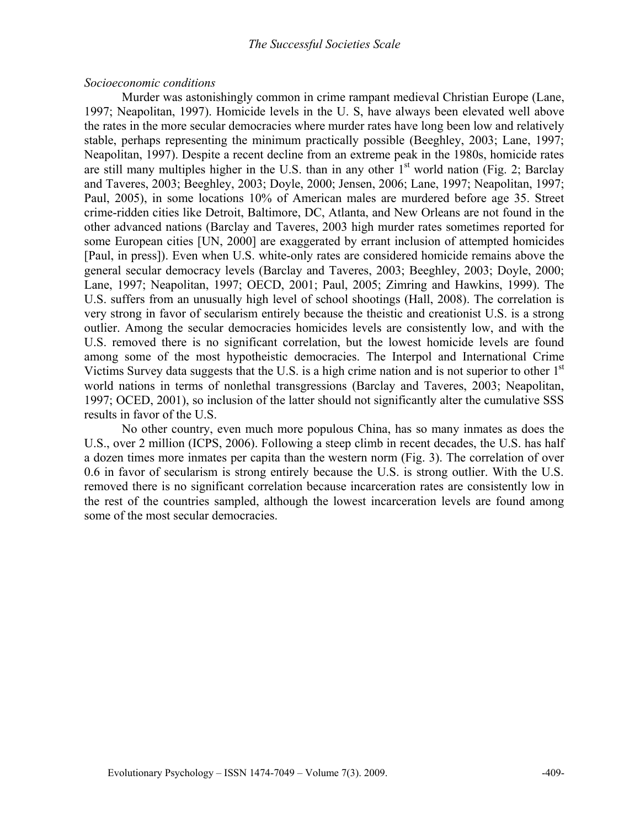## *Socioeconomic conditions*

Murder was astonishingly common in crime rampant medieval Christian Europe (Lane, 1997; Neapolitan, 1997). Homicide levels in the U. S, have always been elevated well above the rates in the more secular democracies where murder rates have long been low and relatively stable, perhaps representing the minimum practically possible (Beeghley, 2003; Lane, 1997; Neapolitan, 1997). Despite a recent decline from an extreme peak in the 1980s, homicide rates are still many multiples higher in the U.S. than in any other  $1<sup>st</sup>$  world nation (Fig. 2; Barclay and Taveres, 2003; Beeghley, 2003; Doyle, 2000; Jensen, 2006; Lane, 1997; Neapolitan, 1997; Paul, 2005), in some locations 10% of American males are murdered before age 35. Street crime-ridden cities like Detroit, Baltimore, DC, Atlanta, and New Orleans are not found in the other advanced nations (Barclay and Taveres, 2003 high murder rates sometimes reported for some European cities [UN, 2000] are exaggerated by errant inclusion of attempted homicides [Paul, in press]). Even when U.S. white-only rates are considered homicide remains above the general secular democracy levels (Barclay and Taveres, 2003; Beeghley, 2003; Doyle, 2000; Lane, 1997; Neapolitan, 1997; OECD, 2001; Paul, 2005; Zimring and Hawkins, 1999). The U.S. suffers from an unusually high level of school shootings (Hall, 2008). The correlation is very strong in favor of secularism entirely because the theistic and creationist U.S. is a strong outlier. Among the secular democracies homicides levels are consistently low, and with the U.S. removed there is no significant correlation, but the lowest homicide levels are found among some of the most hypotheistic democracies. The Interpol and International Crime Victims Survey data suggests that the U.S. is a high crime nation and is not superior to other  $1<sup>st</sup>$ world nations in terms of nonlethal transgressions (Barclay and Taveres, 2003; Neapolitan, 1997; OCED, 2001), so inclusion of the latter should not significantly alter the cumulative SSS results in favor of the U.S.

No other country, even much more populous China, has so many inmates as does the U.S., over 2 million (ICPS, 2006). Following a steep climb in recent decades, the U.S. has half a dozen times more inmates per capita than the western norm (Fig. 3). The correlation of over 0.6 in favor of secularism is strong entirely because the U.S. is strong outlier. With the U.S. removed there is no significant correlation because incarceration rates are consistently low in the rest of the countries sampled, although the lowest incarceration levels are found among some of the most secular democracies.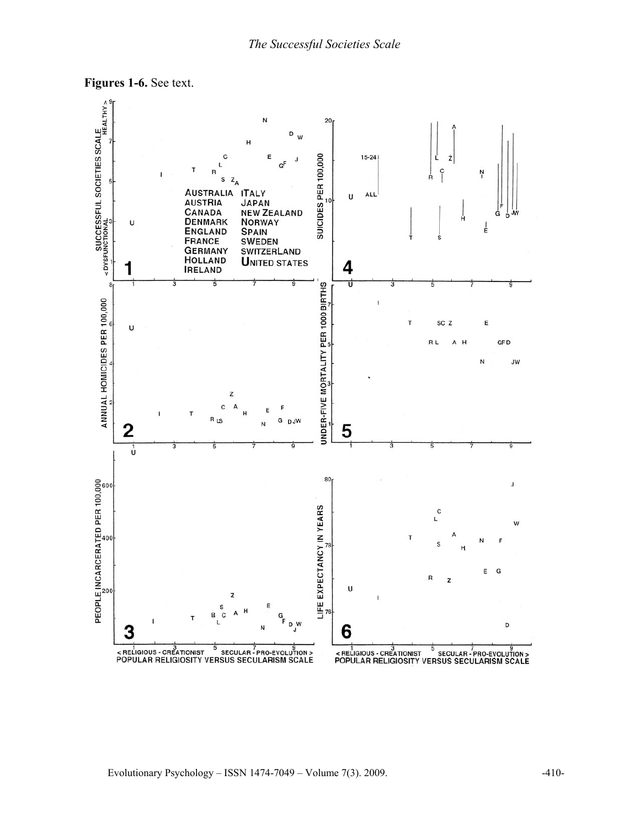

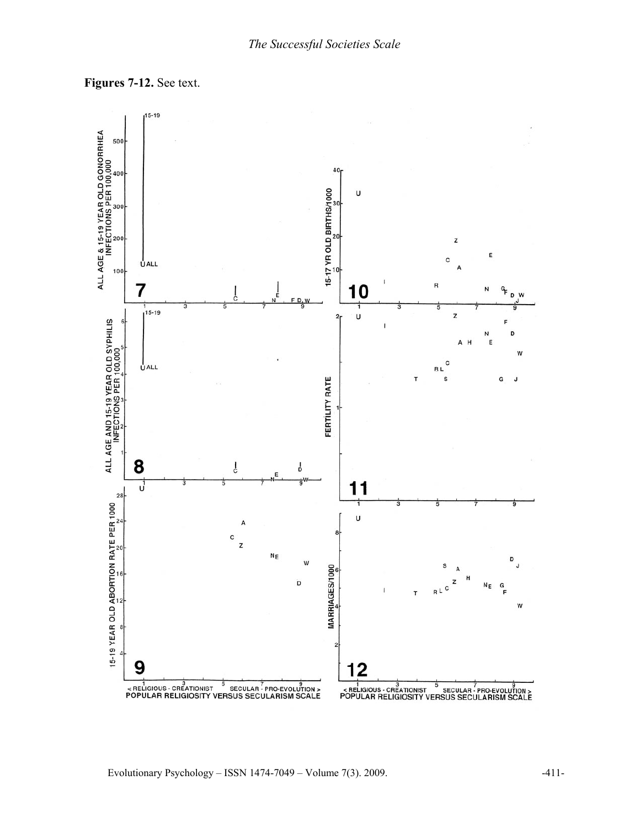

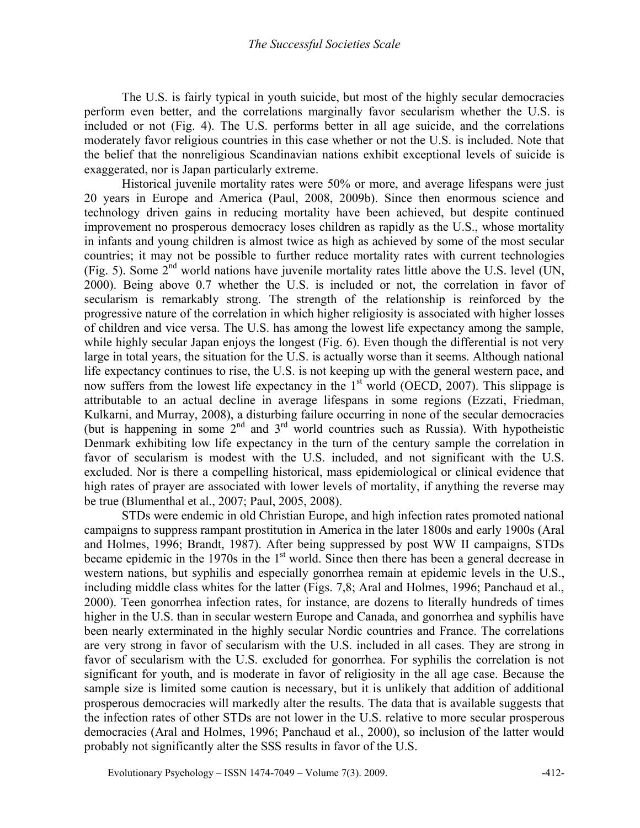The U.S. is fairly typical in youth suicide, but most of the highly secular democracies perform even better, and the correlations marginally favor secularism whether the U.S. is included or not (Fig. 4). The U.S. performs better in all age suicide, and the correlations moderately favor religious countries in this case whether or not the U.S. is included. Note that the belief that the nonreligious Scandinavian nations exhibit exceptional levels of suicide is exaggerated, nor is Japan particularly extreme.

 Historical juvenile mortality rates were 50% or more, and average lifespans were just 20 years in Europe and America (Paul, 2008, 2009b). Since then enormous science and technology driven gains in reducing mortality have been achieved, but despite continued improvement no prosperous democracy loses children as rapidly as the U.S., whose mortality in infants and young children is almost twice as high as achieved by some of the most secular countries; it may not be possible to further reduce mortality rates with current technologies (Fig. 5). Some  $2<sup>nd</sup>$  world nations have juvenile mortality rates little above the U.S. level (UN, 2000). Being above 0.7 whether the U.S. is included or not, the correlation in favor of secularism is remarkably strong. The strength of the relationship is reinforced by the progressive nature of the correlation in which higher religiosity is associated with higher losses of children and vice versa. The U.S. has among the lowest life expectancy among the sample, while highly secular Japan enjoys the longest (Fig. 6). Even though the differential is not very large in total years, the situation for the U.S. is actually worse than it seems. Although national life expectancy continues to rise, the U.S. is not keeping up with the general western pace, and now suffers from the lowest life expectancy in the  $1<sup>st</sup>$  world (OECD, 2007). This slippage is attributable to an actual decline in average lifespans in some regions (Ezzati, Friedman, Kulkarni, and Murray, 2008), a disturbing failure occurring in none of the secular democracies (but is happening in some  $2<sup>nd</sup>$  and  $3<sup>rd</sup>$  world countries such as Russia). With hypotheistic Denmark exhibiting low life expectancy in the turn of the century sample the correlation in favor of secularism is modest with the U.S. included, and not significant with the U.S. excluded. Nor is there a compelling historical, mass epidemiological or clinical evidence that high rates of prayer are associated with lower levels of mortality, if anything the reverse may be true (Blumenthal et al., 2007; Paul, 2005, 2008).

STDs were endemic in old Christian Europe, and high infection rates promoted national campaigns to suppress rampant prostitution in America in the later 1800s and early 1900s (Aral and Holmes, 1996; Brandt, 1987). After being suppressed by post WW II campaigns, STDs became epidemic in the 1970s in the 1<sup>st</sup> world. Since then there has been a general decrease in western nations, but syphilis and especially gonorrhea remain at epidemic levels in the U.S., including middle class whites for the latter (Figs. 7,8; Aral and Holmes, 1996; Panchaud et al., 2000). Teen gonorrhea infection rates, for instance, are dozens to literally hundreds of times higher in the U.S. than in secular western Europe and Canada, and gonorrhea and syphilis have been nearly exterminated in the highly secular Nordic countries and France. The correlations are very strong in favor of secularism with the U.S. included in all cases. They are strong in favor of secularism with the U.S. excluded for gonorrhea. For syphilis the correlation is not significant for youth, and is moderate in favor of religiosity in the all age case. Because the sample size is limited some caution is necessary, but it is unlikely that addition of additional prosperous democracies will markedly alter the results. The data that is available suggests that the infection rates of other STDs are not lower in the U.S. relative to more secular prosperous democracies (Aral and Holmes, 1996; Panchaud et al., 2000), so inclusion of the latter would probably not significantly alter the SSS results in favor of the U.S.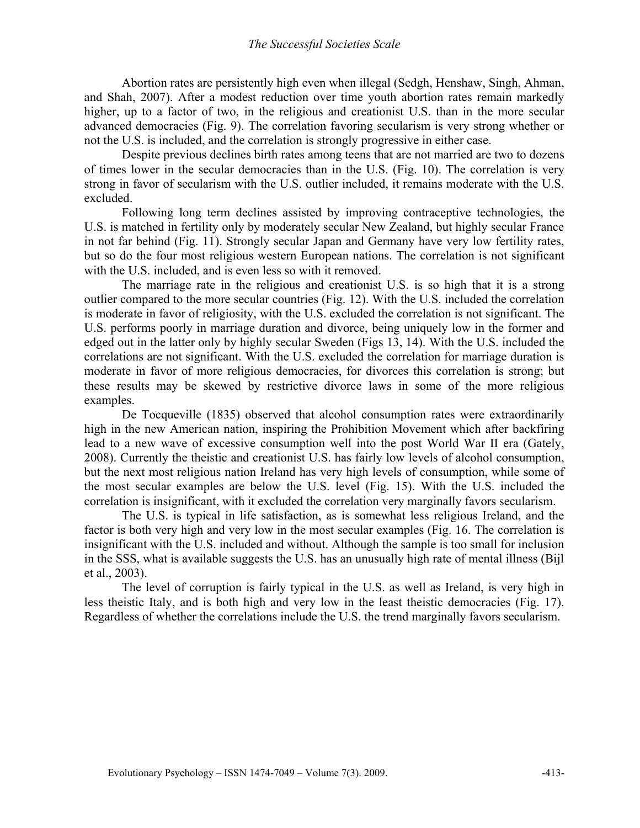Abortion rates are persistently high even when illegal (Sedgh, Henshaw, Singh, Ahman, and Shah, 2007). After a modest reduction over time youth abortion rates remain markedly higher, up to a factor of two, in the religious and creationist U.S. than in the more secular advanced democracies (Fig. 9). The correlation favoring secularism is very strong whether or not the U.S. is included, and the correlation is strongly progressive in either case.

Despite previous declines birth rates among teens that are not married are two to dozens of times lower in the secular democracies than in the U.S. (Fig. 10). The correlation is very strong in favor of secularism with the U.S. outlier included, it remains moderate with the U.S. excluded.

Following long term declines assisted by improving contraceptive technologies, the U.S. is matched in fertility only by moderately secular New Zealand, but highly secular France in not far behind (Fig. 11). Strongly secular Japan and Germany have very low fertility rates, but so do the four most religious western European nations. The correlation is not significant with the U.S. included, and is even less so with it removed.

The marriage rate in the religious and creationist U.S. is so high that it is a strong outlier compared to the more secular countries (Fig. 12). With the U.S. included the correlation is moderate in favor of religiosity, with the U.S. excluded the correlation is not significant. The U.S. performs poorly in marriage duration and divorce, being uniquely low in the former and edged out in the latter only by highly secular Sweden (Figs 13, 14). With the U.S. included the correlations are not significant. With the U.S. excluded the correlation for marriage duration is moderate in favor of more religious democracies, for divorces this correlation is strong; but these results may be skewed by restrictive divorce laws in some of the more religious examples.

De Tocqueville (1835) observed that alcohol consumption rates were extraordinarily high in the new American nation, inspiring the Prohibition Movement which after backfiring lead to a new wave of excessive consumption well into the post World War II era (Gately, 2008). Currently the theistic and creationist U.S. has fairly low levels of alcohol consumption, but the next most religious nation Ireland has very high levels of consumption, while some of the most secular examples are below the U.S. level (Fig. 15). With the U.S. included the correlation is insignificant, with it excluded the correlation very marginally favors secularism.

The U.S. is typical in life satisfaction, as is somewhat less religious Ireland, and the factor is both very high and very low in the most secular examples (Fig. 16. The correlation is insignificant with the U.S. included and without. Although the sample is too small for inclusion in the SSS, what is available suggests the U.S. has an unusually high rate of mental illness (Bijl et al., 2003).

The level of corruption is fairly typical in the U.S. as well as Ireland, is very high in less theistic Italy, and is both high and very low in the least theistic democracies (Fig. 17). Regardless of whether the correlations include the U.S. the trend marginally favors secularism.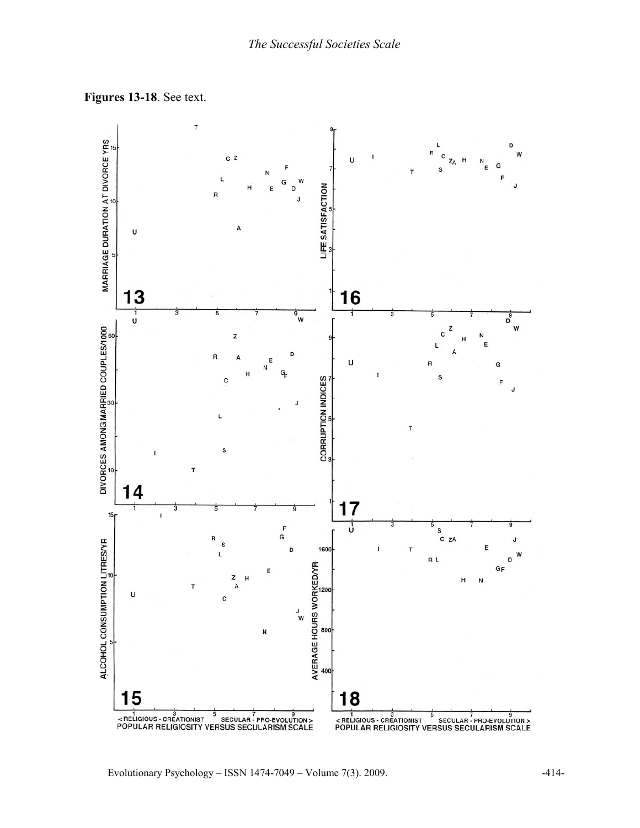

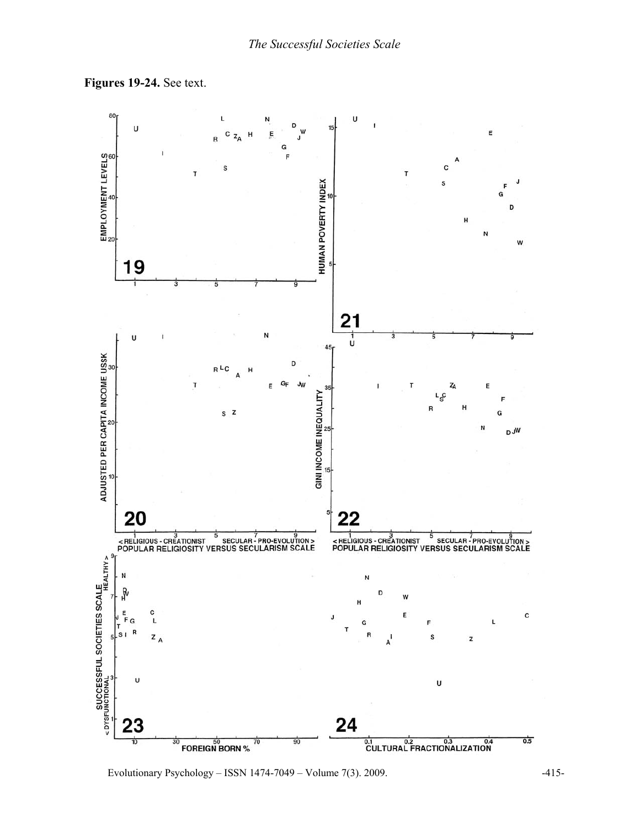



Evolutionary Psychology – ISSN  $1474-7049$  – Volume 7(3). 2009.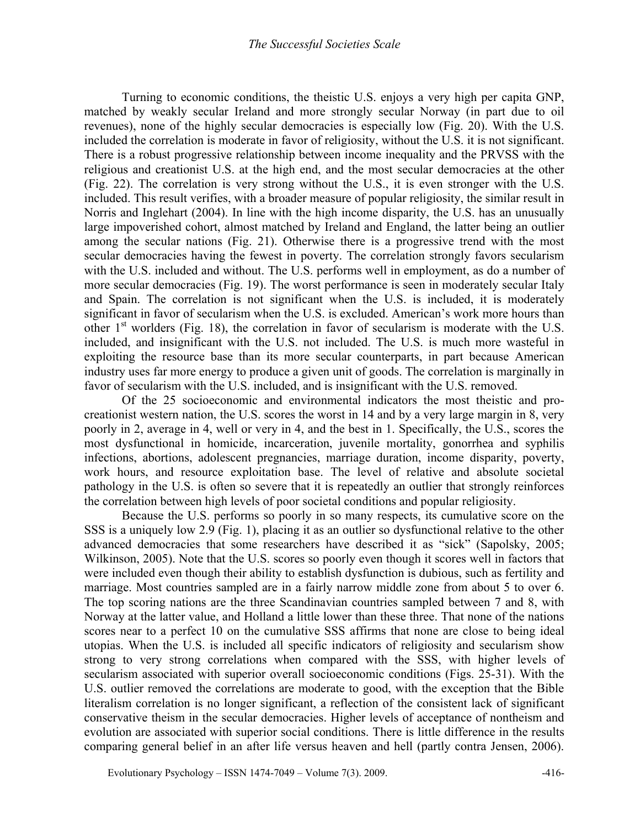Turning to economic conditions, the theistic U.S. enjoys a very high per capita GNP, matched by weakly secular Ireland and more strongly secular Norway (in part due to oil revenues), none of the highly secular democracies is especially low (Fig. 20). With the U.S. included the correlation is moderate in favor of religiosity, without the U.S. it is not significant. There is a robust progressive relationship between income inequality and the PRVSS with the religious and creationist U.S. at the high end, and the most secular democracies at the other (Fig. 22). The correlation is very strong without the U.S., it is even stronger with the U.S. included. This result verifies, with a broader measure of popular religiosity, the similar result in Norris and Inglehart (2004). In line with the high income disparity, the U.S. has an unusually large impoverished cohort, almost matched by Ireland and England, the latter being an outlier among the secular nations (Fig. 21). Otherwise there is a progressive trend with the most secular democracies having the fewest in poverty. The correlation strongly favors secularism with the U.S. included and without. The U.S. performs well in employment, as do a number of more secular democracies (Fig. 19). The worst performance is seen in moderately secular Italy and Spain. The correlation is not significant when the U.S. is included, it is moderately significant in favor of secularism when the U.S. is excluded. American's work more hours than other  $1<sup>st</sup>$  worlders (Fig. 18), the correlation in favor of secularism is moderate with the U.S. included, and insignificant with the U.S. not included. The U.S. is much more wasteful in exploiting the resource base than its more secular counterparts, in part because American industry uses far more energy to produce a given unit of goods. The correlation is marginally in favor of secularism with the U.S. included, and is insignificant with the U.S. removed.

 Of the 25 socioeconomic and environmental indicators the most theistic and procreationist western nation, the U.S. scores the worst in 14 and by a very large margin in 8, very poorly in 2, average in 4, well or very in 4, and the best in 1. Specifically, the U.S., scores the most dysfunctional in homicide, incarceration, juvenile mortality, gonorrhea and syphilis infections, abortions, adolescent pregnancies, marriage duration, income disparity, poverty, work hours, and resource exploitation base. The level of relative and absolute societal pathology in the U.S. is often so severe that it is repeatedly an outlier that strongly reinforces the correlation between high levels of poor societal conditions and popular religiosity.

 Because the U.S. performs so poorly in so many respects, its cumulative score on the SSS is a uniquely low 2.9 (Fig. 1), placing it as an outlier so dysfunctional relative to the other advanced democracies that some researchers have described it as "sick" (Sapolsky, 2005; Wilkinson, 2005). Note that the U.S. scores so poorly even though it scores well in factors that were included even though their ability to establish dysfunction is dubious, such as fertility and marriage. Most countries sampled are in a fairly narrow middle zone from about 5 to over 6. The top scoring nations are the three Scandinavian countries sampled between 7 and 8, with Norway at the latter value, and Holland a little lower than these three. That none of the nations scores near to a perfect 10 on the cumulative SSS affirms that none are close to being ideal utopias. When the U.S. is included all specific indicators of religiosity and secularism show strong to very strong correlations when compared with the SSS, with higher levels of secularism associated with superior overall socioeconomic conditions (Figs. 25-31). With the U.S. outlier removed the correlations are moderate to good, with the exception that the Bible literalism correlation is no longer significant, a reflection of the consistent lack of significant conservative theism in the secular democracies. Higher levels of acceptance of nontheism and evolution are associated with superior social conditions. There is little difference in the results comparing general belief in an after life versus heaven and hell (partly contra Jensen, 2006).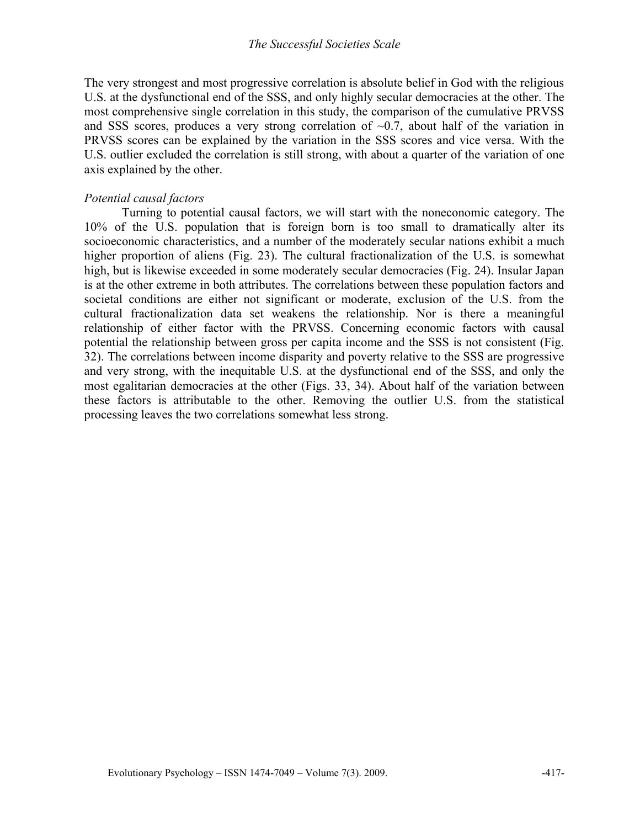The very strongest and most progressive correlation is absolute belief in God with the religious U.S. at the dysfunctional end of the SSS, and only highly secular democracies at the other. The most comprehensive single correlation in this study, the comparison of the cumulative PRVSS and SSS scores, produces a very strong correlation of  $\sim 0.7$ , about half of the variation in PRVSS scores can be explained by the variation in the SSS scores and vice versa. With the U.S. outlier excluded the correlation is still strong, with about a quarter of the variation of one axis explained by the other.

## *Potential causal factors*

 Turning to potential causal factors, we will start with the noneconomic category. The 10% of the U.S. population that is foreign born is too small to dramatically alter its socioeconomic characteristics, and a number of the moderately secular nations exhibit a much higher proportion of aliens (Fig. 23). The cultural fractionalization of the U.S. is somewhat high, but is likewise exceeded in some moderately secular democracies (Fig. 24). Insular Japan is at the other extreme in both attributes. The correlations between these population factors and societal conditions are either not significant or moderate, exclusion of the U.S. from the cultural fractionalization data set weakens the relationship. Nor is there a meaningful relationship of either factor with the PRVSS. Concerning economic factors with causal potential the relationship between gross per capita income and the SSS is not consistent (Fig. 32). The correlations between income disparity and poverty relative to the SSS are progressive and very strong, with the inequitable U.S. at the dysfunctional end of the SSS, and only the most egalitarian democracies at the other (Figs. 33, 34). About half of the variation between these factors is attributable to the other. Removing the outlier U.S. from the statistical processing leaves the two correlations somewhat less strong.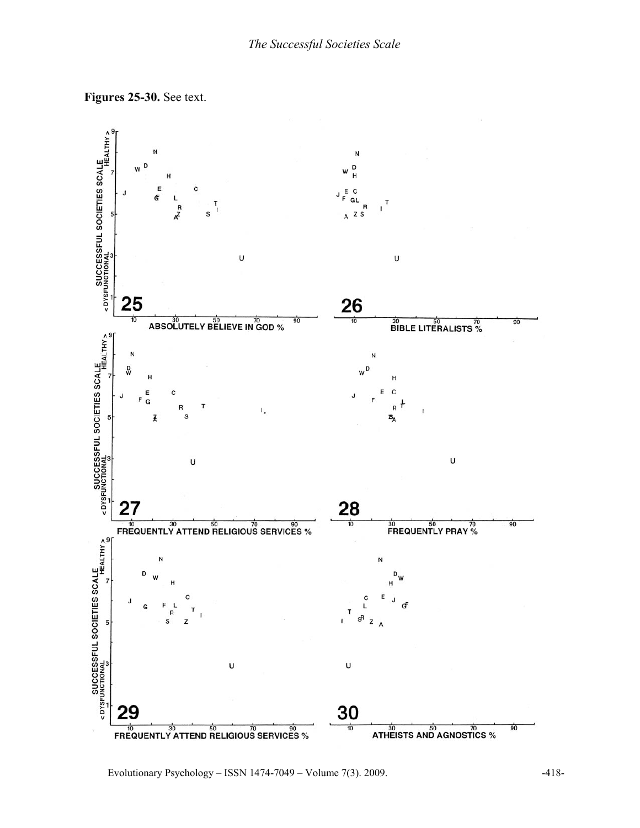**Figures 25-30.** See text.



Evolutionary Psychology – ISSN  $1474-7049$  – Volume 7(3). 2009.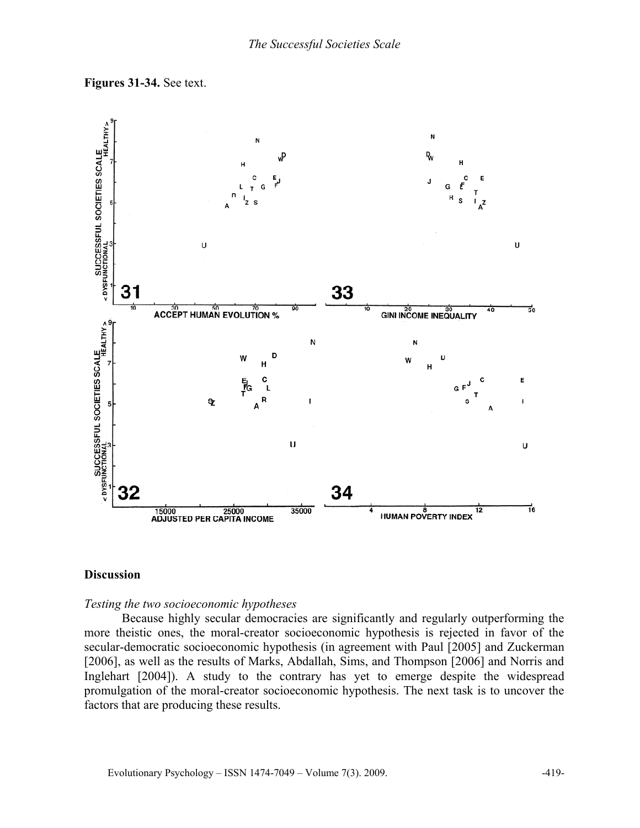



#### **Discussion**

#### *Testing the two socioeconomic hypotheses*

Because highly secular democracies are significantly and regularly outperforming the more theistic ones, the moral-creator socioeconomic hypothesis is rejected in favor of the secular-democratic socioeconomic hypothesis (in agreement with Paul [2005] and Zuckerman [2006], as well as the results of Marks, Abdallah, Sims, and Thompson [2006] and Norris and Inglehart [2004]). A study to the contrary has yet to emerge despite the widespread promulgation of the moral-creator socioeconomic hypothesis. The next task is to uncover the factors that are producing these results.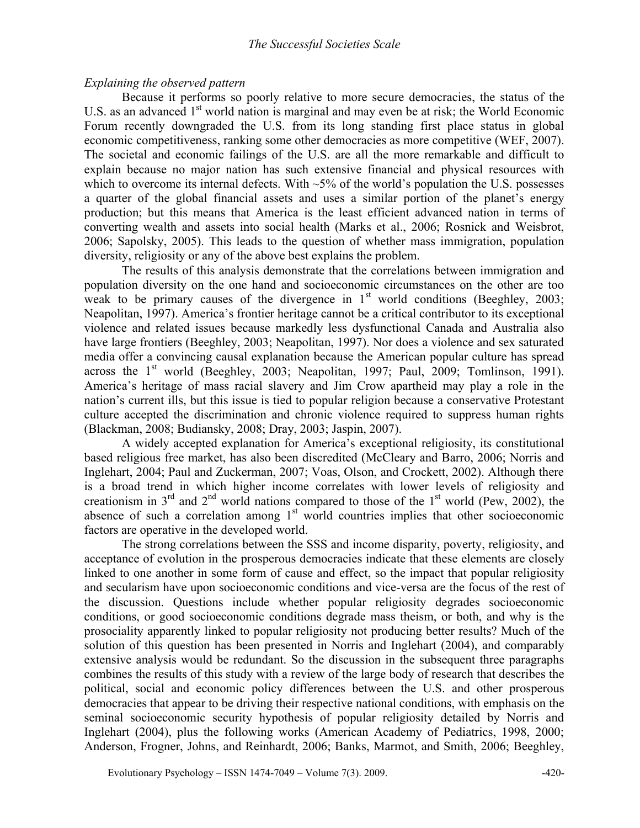## *Explaining the observed pattern*

Because it performs so poorly relative to more secure democracies, the status of the U.S. as an advanced  $1<sup>st</sup>$  world nation is marginal and may even be at risk; the World Economic Forum recently downgraded the U.S. from its long standing first place status in global economic competitiveness, ranking some other democracies as more competitive (WEF, 2007). The societal and economic failings of the U.S. are all the more remarkable and difficult to explain because no major nation has such extensive financial and physical resources with which to overcome its internal defects. With  $\sim$ 5% of the world's population the U.S. possesses a quarter of the global financial assets and uses a similar portion of the planet's energy production; but this means that America is the least efficient advanced nation in terms of converting wealth and assets into social health (Marks et al., 2006; Rosnick and Weisbrot, 2006; Sapolsky, 2005). This leads to the question of whether mass immigration, population diversity, religiosity or any of the above best explains the problem.

The results of this analysis demonstrate that the correlations between immigration and population diversity on the one hand and socioeconomic circumstances on the other are too weak to be primary causes of the divergence in  $1<sup>st</sup>$  world conditions (Beeghley, 2003; Neapolitan, 1997). America's frontier heritage cannot be a critical contributor to its exceptional violence and related issues because markedly less dysfunctional Canada and Australia also have large frontiers (Beeghley, 2003; Neapolitan, 1997). Nor does a violence and sex saturated media offer a convincing causal explanation because the American popular culture has spread across the  $1<sup>st</sup>$  world (Beeghley, 2003; Neapolitan, 1997; Paul, 2009; Tomlinson, 1991). America's heritage of mass racial slavery and Jim Crow apartheid may play a role in the nation's current ills, but this issue is tied to popular religion because a conservative Protestant culture accepted the discrimination and chronic violence required to suppress human rights (Blackman, 2008; Budiansky, 2008; Dray, 2003; Jaspin, 2007).

A widely accepted explanation for America's exceptional religiosity, its constitutional based religious free market, has also been discredited (McCleary and Barro, 2006; Norris and Inglehart, 2004; Paul and Zuckerman, 2007; Voas, Olson, and Crockett, 2002). Although there is a broad trend in which higher income correlates with lower levels of religiosity and creationism in  $3<sup>rd</sup>$  and  $2<sup>nd</sup>$  world nations compared to those of the 1<sup>st</sup> world (Pew, 2002), the absence of such a correlation among  $1<sup>st</sup>$  world countries implies that other socioeconomic factors are operative in the developed world.

 The strong correlations between the SSS and income disparity, poverty, religiosity, and acceptance of evolution in the prosperous democracies indicate that these elements are closely linked to one another in some form of cause and effect, so the impact that popular religiosity and secularism have upon socioeconomic conditions and vice-versa are the focus of the rest of the discussion. Questions include whether popular religiosity degrades socioeconomic conditions, or good socioeconomic conditions degrade mass theism, or both, and why is the prosociality apparently linked to popular religiosity not producing better results? Much of the solution of this question has been presented in Norris and Inglehart (2004), and comparably extensive analysis would be redundant. So the discussion in the subsequent three paragraphs combines the results of this study with a review of the large body of research that describes the political, social and economic policy differences between the U.S. and other prosperous democracies that appear to be driving their respective national conditions, with emphasis on the seminal socioeconomic security hypothesis of popular religiosity detailed by Norris and Inglehart (2004), plus the following works (American Academy of Pediatrics, 1998, 2000; Anderson, Frogner, Johns, and Reinhardt, 2006; Banks, Marmot, and Smith, 2006; Beeghley,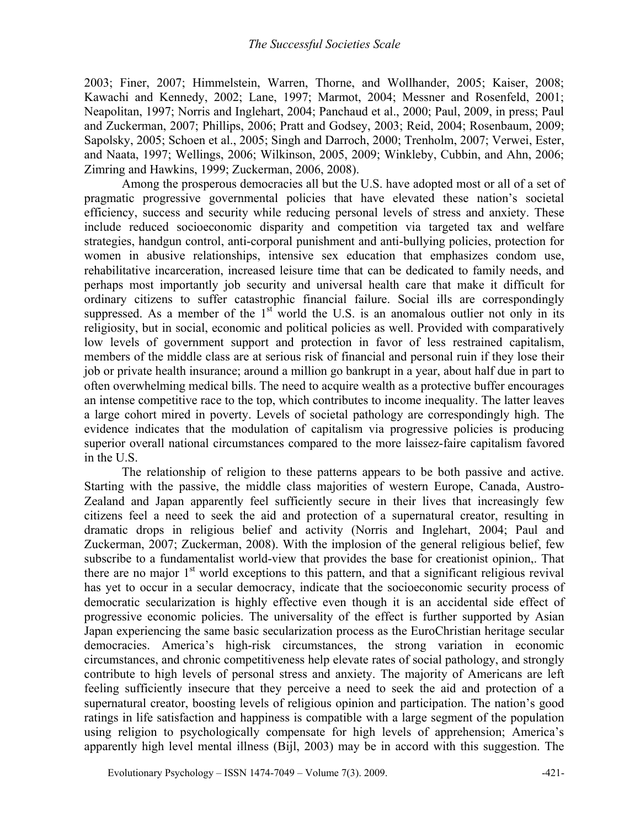2003; Finer, 2007; Himmelstein, Warren, Thorne, and Wollhander, 2005; Kaiser, 2008; Kawachi and Kennedy, 2002; Lane, 1997; Marmot, 2004; Messner and Rosenfeld, 2001; Neapolitan, 1997; Norris and Inglehart, 2004; Panchaud et al., 2000; Paul, 2009, in press; Paul and Zuckerman, 2007; Phillips, 2006; Pratt and Godsey, 2003; Reid, 2004; Rosenbaum, 2009; Sapolsky, 2005; Schoen et al., 2005; Singh and Darroch, 2000; Trenholm, 2007; Verwei, Ester, and Naata, 1997; Wellings, 2006; Wilkinson, 2005, 2009; Winkleby, Cubbin, and Ahn, 2006; Zimring and Hawkins, 1999; Zuckerman, 2006, 2008).

 Among the prosperous democracies all but the U.S. have adopted most or all of a set of pragmatic progressive governmental policies that have elevated these nation's societal efficiency, success and security while reducing personal levels of stress and anxiety. These include reduced socioeconomic disparity and competition via targeted tax and welfare strategies, handgun control, anti-corporal punishment and anti-bullying policies, protection for women in abusive relationships, intensive sex education that emphasizes condom use, rehabilitative incarceration, increased leisure time that can be dedicated to family needs, and perhaps most importantly job security and universal health care that make it difficult for ordinary citizens to suffer catastrophic financial failure. Social ills are correspondingly suppressed. As a member of the  $1<sup>st</sup>$  world the U.S. is an anomalous outlier not only in its religiosity, but in social, economic and political policies as well. Provided with comparatively low levels of government support and protection in favor of less restrained capitalism, members of the middle class are at serious risk of financial and personal ruin if they lose their job or private health insurance; around a million go bankrupt in a year, about half due in part to often overwhelming medical bills. The need to acquire wealth as a protective buffer encourages an intense competitive race to the top, which contributes to income inequality. The latter leaves a large cohort mired in poverty. Levels of societal pathology are correspondingly high. The evidence indicates that the modulation of capitalism via progressive policies is producing superior overall national circumstances compared to the more laissez-faire capitalism favored in the U.S.

 The relationship of religion to these patterns appears to be both passive and active. Starting with the passive, the middle class majorities of western Europe, Canada, Austro-Zealand and Japan apparently feel sufficiently secure in their lives that increasingly few citizens feel a need to seek the aid and protection of a supernatural creator, resulting in dramatic drops in religious belief and activity (Norris and Inglehart, 2004; Paul and Zuckerman, 2007; Zuckerman, 2008). With the implosion of the general religious belief, few subscribe to a fundamentalist world-view that provides the base for creationist opinion,. That there are no major  $1<sup>st</sup>$  world exceptions to this pattern, and that a significant religious revival has yet to occur in a secular democracy, indicate that the socioeconomic security process of democratic secularization is highly effective even though it is an accidental side effect of progressive economic policies. The universality of the effect is further supported by Asian Japan experiencing the same basic secularization process as the EuroChristian heritage secular democracies. America's high-risk circumstances, the strong variation in economic circumstances, and chronic competitiveness help elevate rates of social pathology, and strongly contribute to high levels of personal stress and anxiety. The majority of Americans are left feeling sufficiently insecure that they perceive a need to seek the aid and protection of a supernatural creator, boosting levels of religious opinion and participation. The nation's good ratings in life satisfaction and happiness is compatible with a large segment of the population using religion to psychologically compensate for high levels of apprehension; America's apparently high level mental illness (Bijl, 2003) may be in accord with this suggestion. The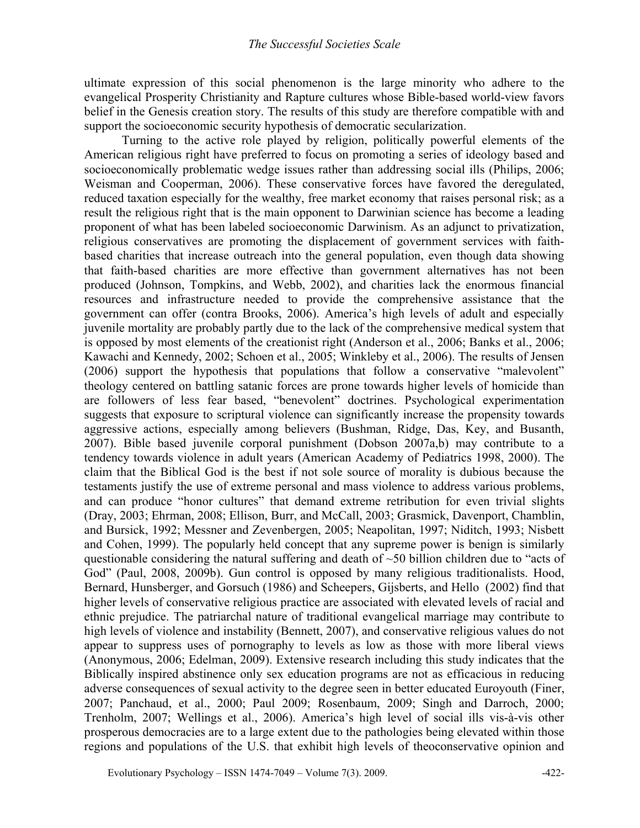ultimate expression of this social phenomenon is the large minority who adhere to the evangelical Prosperity Christianity and Rapture cultures whose Bible-based world-view favors belief in the Genesis creation story. The results of this study are therefore compatible with and support the socioeconomic security hypothesis of democratic secularization.

Turning to the active role played by religion, politically powerful elements of the American religious right have preferred to focus on promoting a series of ideology based and socioeconomically problematic wedge issues rather than addressing social ills (Philips, 2006; Weisman and Cooperman, 2006). These conservative forces have favored the deregulated, reduced taxation especially for the wealthy, free market economy that raises personal risk; as a result the religious right that is the main opponent to Darwinian science has become a leading proponent of what has been labeled socioeconomic Darwinism. As an adjunct to privatization, religious conservatives are promoting the displacement of government services with faithbased charities that increase outreach into the general population, even though data showing that faith-based charities are more effective than government alternatives has not been produced (Johnson, Tompkins, and Webb, 2002), and charities lack the enormous financial resources and infrastructure needed to provide the comprehensive assistance that the government can offer (contra Brooks, 2006). America's high levels of adult and especially juvenile mortality are probably partly due to the lack of the comprehensive medical system that is opposed by most elements of the creationist right (Anderson et al., 2006; Banks et al., 2006; Kawachi and Kennedy, 2002; Schoen et al., 2005; Winkleby et al., 2006). The results of Jensen (2006) support the hypothesis that populations that follow a conservative "malevolent" theology centered on battling satanic forces are prone towards higher levels of homicide than are followers of less fear based, "benevolent" doctrines. Psychological experimentation suggests that exposure to scriptural violence can significantly increase the propensity towards aggressive actions, especially among believers (Bushman, Ridge, Das, Key, and Busanth, 2007). Bible based juvenile corporal punishment (Dobson 2007a,b) may contribute to a tendency towards violence in adult years (American Academy of Pediatrics 1998, 2000). The claim that the Biblical God is the best if not sole source of morality is dubious because the testaments justify the use of extreme personal and mass violence to address various problems, and can produce "honor cultures" that demand extreme retribution for even trivial slights (Dray, 2003; Ehrman, 2008; Ellison, Burr, and McCall, 2003; Grasmick, Davenport, Chamblin, and Bursick, 1992; Messner and Zevenbergen, 2005; Neapolitan, 1997; Niditch, 1993; Nisbett and Cohen, 1999). The popularly held concept that any supreme power is benign is similarly questionable considering the natural suffering and death of  $\sim$ 50 billion children due to "acts of God" (Paul, 2008, 2009b). Gun control is opposed by many religious traditionalists. Hood, Bernard, Hunsberger, and Gorsuch (1986) and Scheepers, Gijsberts, and Hello (2002) find that higher levels of conservative religious practice are associated with elevated levels of racial and ethnic prejudice. The patriarchal nature of traditional evangelical marriage may contribute to high levels of violence and instability (Bennett, 2007), and conservative religious values do not appear to suppress uses of pornography to levels as low as those with more liberal views (Anonymous, 2006; Edelman, 2009). Extensive research including this study indicates that the Biblically inspired abstinence only sex education programs are not as efficacious in reducing adverse consequences of sexual activity to the degree seen in better educated Euroyouth (Finer, 2007; Panchaud, et al., 2000; Paul 2009; Rosenbaum, 2009; Singh and Darroch, 2000; Trenholm, 2007; Wellings et al., 2006). America's high level of social ills vis-à-vis other prosperous democracies are to a large extent due to the pathologies being elevated within those regions and populations of the U.S. that exhibit high levels of theoconservative opinion and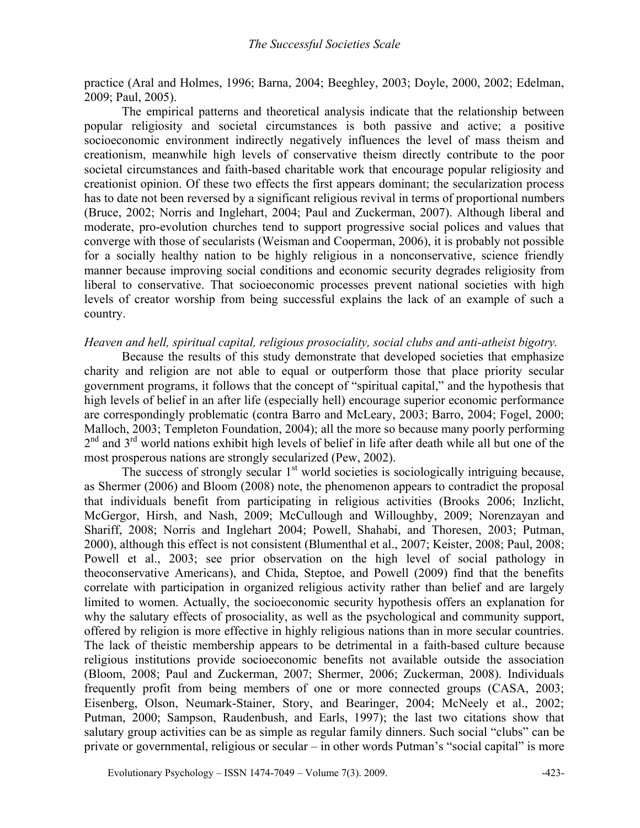practice (Aral and Holmes, 1996; Barna, 2004; Beeghley, 2003; Doyle, 2000, 2002; Edelman, 2009; Paul, 2005).

The empirical patterns and theoretical analysis indicate that the relationship between popular religiosity and societal circumstances is both passive and active; a positive socioeconomic environment indirectly negatively influences the level of mass theism and creationism, meanwhile high levels of conservative theism directly contribute to the poor societal circumstances and faith-based charitable work that encourage popular religiosity and creationist opinion. Of these two effects the first appears dominant; the secularization process has to date not been reversed by a significant religious revival in terms of proportional numbers (Bruce, 2002; Norris and Inglehart, 2004; Paul and Zuckerman, 2007). Although liberal and moderate, pro-evolution churches tend to support progressive social polices and values that converge with those of secularists (Weisman and Cooperman, 2006), it is probably not possible for a socially healthy nation to be highly religious in a nonconservative, science friendly manner because improving social conditions and economic security degrades religiosity from liberal to conservative. That socioeconomic processes prevent national societies with high levels of creator worship from being successful explains the lack of an example of such a country.

## *Heaven and hell, spiritual capital, religious prosociality, social clubs and anti-atheist bigotry.*

Because the results of this study demonstrate that developed societies that emphasize charity and religion are not able to equal or outperform those that place priority secular government programs, it follows that the concept of "spiritual capital," and the hypothesis that high levels of belief in an after life (especially hell) encourage superior economic performance are correspondingly problematic (contra Barro and McLeary, 2003; Barro, 2004; Fogel, 2000; Malloch, 2003; Templeton Foundation, 2004); all the more so because many poorly performing  $2<sup>nd</sup>$  and  $3<sup>rd</sup>$  world nations exhibit high levels of belief in life after death while all but one of the most prosperous nations are strongly secularized (Pew, 2002).

The success of strongly secular  $1<sup>st</sup>$  world societies is sociologically intriguing because, as Shermer (2006) and Bloom (2008) note, the phenomenon appears to contradict the proposal that individuals benefit from participating in religious activities (Brooks 2006; Inzlicht, McGergor, Hirsh, and Nash, 2009; McCullough and Willoughby, 2009; Norenzayan and Shariff, 2008; Norris and Inglehart 2004; Powell, Shahabi, and Thoresen, 2003; Putman, 2000), although this effect is not consistent (Blumenthal et al., 2007; Keister, 2008; Paul, 2008; Powell et al., 2003; see prior observation on the high level of social pathology in theoconservative Americans), and Chida, Steptoe, and Powell (2009) find that the benefits correlate with participation in organized religious activity rather than belief and are largely limited to women. Actually, the socioeconomic security hypothesis offers an explanation for why the salutary effects of prosociality, as well as the psychological and community support, offered by religion is more effective in highly religious nations than in more secular countries. The lack of theistic membership appears to be detrimental in a faith-based culture because religious institutions provide socioeconomic benefits not available outside the association (Bloom, 2008; Paul and Zuckerman, 2007; Shermer, 2006; Zuckerman, 2008). Individuals frequently profit from being members of one or more connected groups (CASA, 2003; Eisenberg, Olson, Neumark-Stainer, Story, and Bearinger, 2004; McNeely et al., 2002; Putman, 2000; Sampson, Raudenbush, and Earls, 1997); the last two citations show that salutary group activities can be as simple as regular family dinners. Such social "clubs" can be private or governmental, religious or secular – in other words Putman's "social capital" is more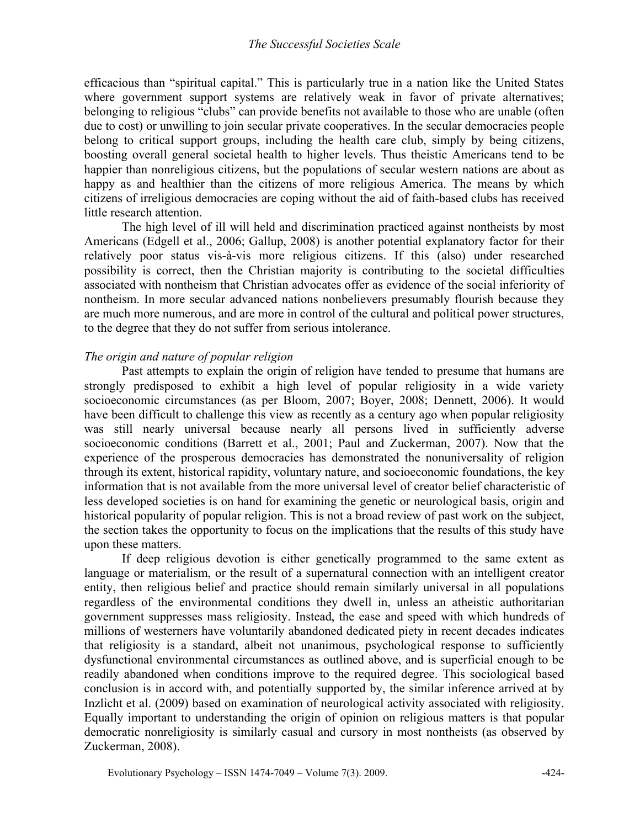efficacious than "spiritual capital." This is particularly true in a nation like the United States where government support systems are relatively weak in favor of private alternatives; belonging to religious "clubs" can provide benefits not available to those who are unable (often due to cost) or unwilling to join secular private cooperatives. In the secular democracies people belong to critical support groups, including the health care club, simply by being citizens, boosting overall general societal health to higher levels. Thus theistic Americans tend to be happier than nonreligious citizens, but the populations of secular western nations are about as happy as and healthier than the citizens of more religious America. The means by which citizens of irreligious democracies are coping without the aid of faith-based clubs has received little research attention.

The high level of ill will held and discrimination practiced against nontheists by most Americans (Edgell et al., 2006; Gallup, 2008) is another potential explanatory factor for their relatively poor status vis-à-vis more religious citizens. If this (also) under researched possibility is correct, then the Christian majority is contributing to the societal difficulties associated with nontheism that Christian advocates offer as evidence of the social inferiority of nontheism. In more secular advanced nations nonbelievers presumably flourish because they are much more numerous, and are more in control of the cultural and political power structures, to the degree that they do not suffer from serious intolerance.

## *The origin and nature of popular religion*

Past attempts to explain the origin of religion have tended to presume that humans are strongly predisposed to exhibit a high level of popular religiosity in a wide variety socioeconomic circumstances (as per Bloom, 2007; Boyer, 2008; Dennett, 2006). It would have been difficult to challenge this view as recently as a century ago when popular religiosity was still nearly universal because nearly all persons lived in sufficiently adverse socioeconomic conditions (Barrett et al., 2001; Paul and Zuckerman, 2007). Now that the experience of the prosperous democracies has demonstrated the nonuniversality of religion through its extent, historical rapidity, voluntary nature, and socioeconomic foundations, the key information that is not available from the more universal level of creator belief characteristic of less developed societies is on hand for examining the genetic or neurological basis, origin and historical popularity of popular religion. This is not a broad review of past work on the subject, the section takes the opportunity to focus on the implications that the results of this study have upon these matters.

 If deep religious devotion is either genetically programmed to the same extent as language or materialism, or the result of a supernatural connection with an intelligent creator entity, then religious belief and practice should remain similarly universal in all populations regardless of the environmental conditions they dwell in, unless an atheistic authoritarian government suppresses mass religiosity. Instead, the ease and speed with which hundreds of millions of westerners have voluntarily abandoned dedicated piety in recent decades indicates that religiosity is a standard, albeit not unanimous, psychological response to sufficiently dysfunctional environmental circumstances as outlined above, and is superficial enough to be readily abandoned when conditions improve to the required degree. This sociological based conclusion is in accord with, and potentially supported by, the similar inference arrived at by Inzlicht et al. (2009) based on examination of neurological activity associated with religiosity. Equally important to understanding the origin of opinion on religious matters is that popular democratic nonreligiosity is similarly casual and cursory in most nontheists (as observed by Zuckerman, 2008).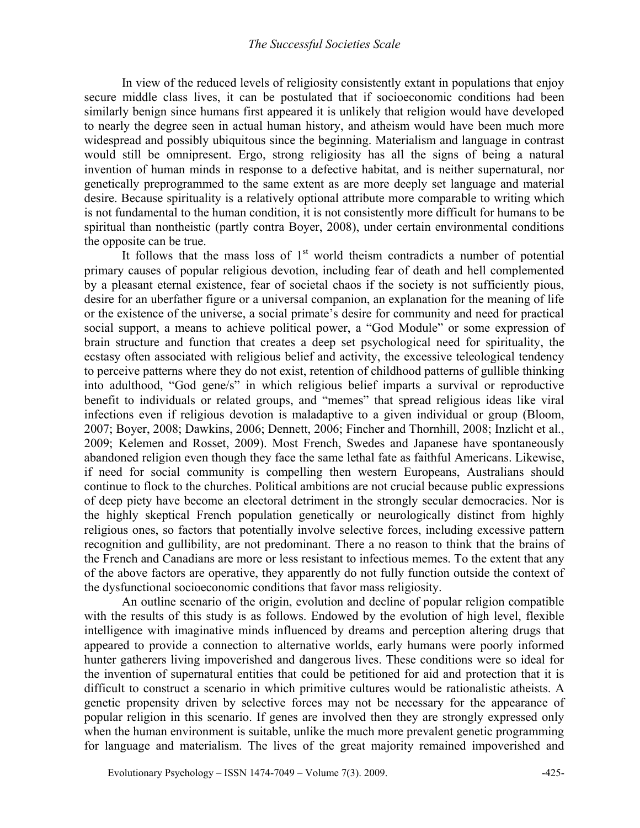In view of the reduced levels of religiosity consistently extant in populations that enjoy secure middle class lives, it can be postulated that if socioeconomic conditions had been similarly benign since humans first appeared it is unlikely that religion would have developed to nearly the degree seen in actual human history, and atheism would have been much more widespread and possibly ubiquitous since the beginning. Materialism and language in contrast would still be omnipresent. Ergo, strong religiosity has all the signs of being a natural invention of human minds in response to a defective habitat, and is neither supernatural, nor genetically preprogrammed to the same extent as are more deeply set language and material desire. Because spirituality is a relatively optional attribute more comparable to writing which is not fundamental to the human condition, it is not consistently more difficult for humans to be spiritual than nontheistic (partly contra Boyer, 2008), under certain environmental conditions the opposite can be true.

It follows that the mass loss of  $1<sup>st</sup>$  world theism contradicts a number of potential primary causes of popular religious devotion, including fear of death and hell complemented by a pleasant eternal existence, fear of societal chaos if the society is not sufficiently pious, desire for an uberfather figure or a universal companion, an explanation for the meaning of life or the existence of the universe, a social primate's desire for community and need for practical social support, a means to achieve political power, a "God Module" or some expression of brain structure and function that creates a deep set psychological need for spirituality, the ecstasy often associated with religious belief and activity, the excessive teleological tendency to perceive patterns where they do not exist, retention of childhood patterns of gullible thinking into adulthood, "God gene/s" in which religious belief imparts a survival or reproductive benefit to individuals or related groups, and "memes" that spread religious ideas like viral infections even if religious devotion is maladaptive to a given individual or group (Bloom, 2007; Boyer, 2008; Dawkins, 2006; Dennett, 2006; Fincher and Thornhill, 2008; Inzlicht et al., 2009; Kelemen and Rosset, 2009). Most French, Swedes and Japanese have spontaneously abandoned religion even though they face the same lethal fate as faithful Americans. Likewise, if need for social community is compelling then western Europeans, Australians should continue to flock to the churches. Political ambitions are not crucial because public expressions of deep piety have become an electoral detriment in the strongly secular democracies. Nor is the highly skeptical French population genetically or neurologically distinct from highly religious ones, so factors that potentially involve selective forces, including excessive pattern recognition and gullibility, are not predominant. There a no reason to think that the brains of the French and Canadians are more or less resistant to infectious memes. To the extent that any of the above factors are operative, they apparently do not fully function outside the context of the dysfunctional socioeconomic conditions that favor mass religiosity.

An outline scenario of the origin, evolution and decline of popular religion compatible with the results of this study is as follows. Endowed by the evolution of high level, flexible intelligence with imaginative minds influenced by dreams and perception altering drugs that appeared to provide a connection to alternative worlds, early humans were poorly informed hunter gatherers living impoverished and dangerous lives. These conditions were so ideal for the invention of supernatural entities that could be petitioned for aid and protection that it is difficult to construct a scenario in which primitive cultures would be rationalistic atheists. A genetic propensity driven by selective forces may not be necessary for the appearance of popular religion in this scenario. If genes are involved then they are strongly expressed only when the human environment is suitable, unlike the much more prevalent genetic programming for language and materialism. The lives of the great majority remained impoverished and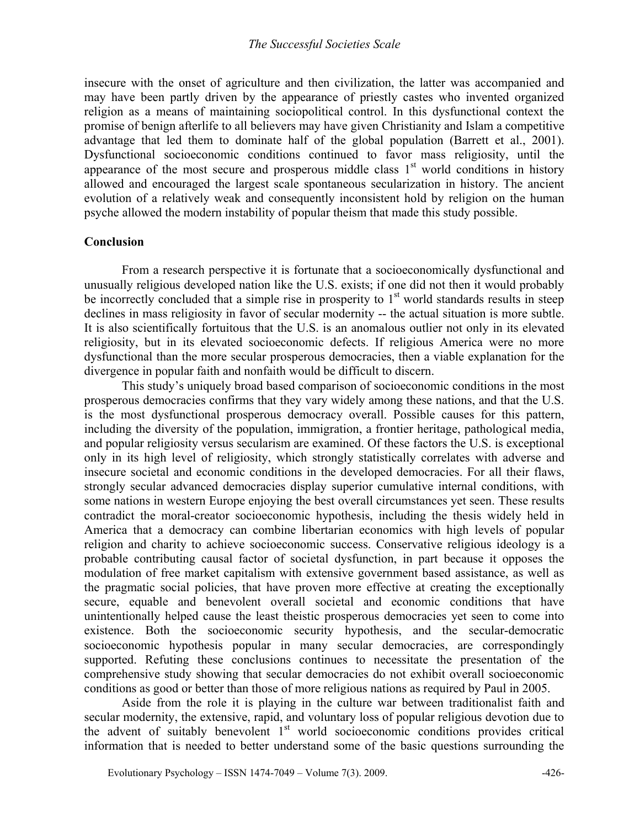insecure with the onset of agriculture and then civilization, the latter was accompanied and may have been partly driven by the appearance of priestly castes who invented organized religion as a means of maintaining sociopolitical control. In this dysfunctional context the promise of benign afterlife to all believers may have given Christianity and Islam a competitive advantage that led them to dominate half of the global population (Barrett et al., 2001). Dysfunctional socioeconomic conditions continued to favor mass religiosity, until the appearance of the most secure and prosperous middle class  $1<sup>st</sup>$  world conditions in history allowed and encouraged the largest scale spontaneous secularization in history. The ancient evolution of a relatively weak and consequently inconsistent hold by religion on the human psyche allowed the modern instability of popular theism that made this study possible.

## **Conclusion**

From a research perspective it is fortunate that a socioeconomically dysfunctional and unusually religious developed nation like the U.S. exists; if one did not then it would probably be incorrectly concluded that a simple rise in prosperity to  $1<sup>st</sup>$  world standards results in steep declines in mass religiosity in favor of secular modernity -- the actual situation is more subtle. It is also scientifically fortuitous that the U.S. is an anomalous outlier not only in its elevated religiosity, but in its elevated socioeconomic defects. If religious America were no more dysfunctional than the more secular prosperous democracies, then a viable explanation for the divergence in popular faith and nonfaith would be difficult to discern.

This study's uniquely broad based comparison of socioeconomic conditions in the most prosperous democracies confirms that they vary widely among these nations, and that the U.S. is the most dysfunctional prosperous democracy overall. Possible causes for this pattern, including the diversity of the population, immigration, a frontier heritage, pathological media, and popular religiosity versus secularism are examined. Of these factors the U.S. is exceptional only in its high level of religiosity, which strongly statistically correlates with adverse and insecure societal and economic conditions in the developed democracies. For all their flaws, strongly secular advanced democracies display superior cumulative internal conditions, with some nations in western Europe enjoying the best overall circumstances yet seen. These results contradict the moral-creator socioeconomic hypothesis, including the thesis widely held in America that a democracy can combine libertarian economics with high levels of popular religion and charity to achieve socioeconomic success. Conservative religious ideology is a probable contributing causal factor of societal dysfunction, in part because it opposes the modulation of free market capitalism with extensive government based assistance, as well as the pragmatic social policies, that have proven more effective at creating the exceptionally secure, equable and benevolent overall societal and economic conditions that have unintentionally helped cause the least theistic prosperous democracies yet seen to come into existence. Both the socioeconomic security hypothesis, and the secular-democratic socioeconomic hypothesis popular in many secular democracies, are correspondingly supported. Refuting these conclusions continues to necessitate the presentation of the comprehensive study showing that secular democracies do not exhibit overall socioeconomic conditions as good or better than those of more religious nations as required by Paul in 2005.

 Aside from the role it is playing in the culture war between traditionalist faith and secular modernity, the extensive, rapid, and voluntary loss of popular religious devotion due to the advent of suitably benevolent  $1<sup>st</sup>$  world socioeconomic conditions provides critical information that is needed to better understand some of the basic questions surrounding the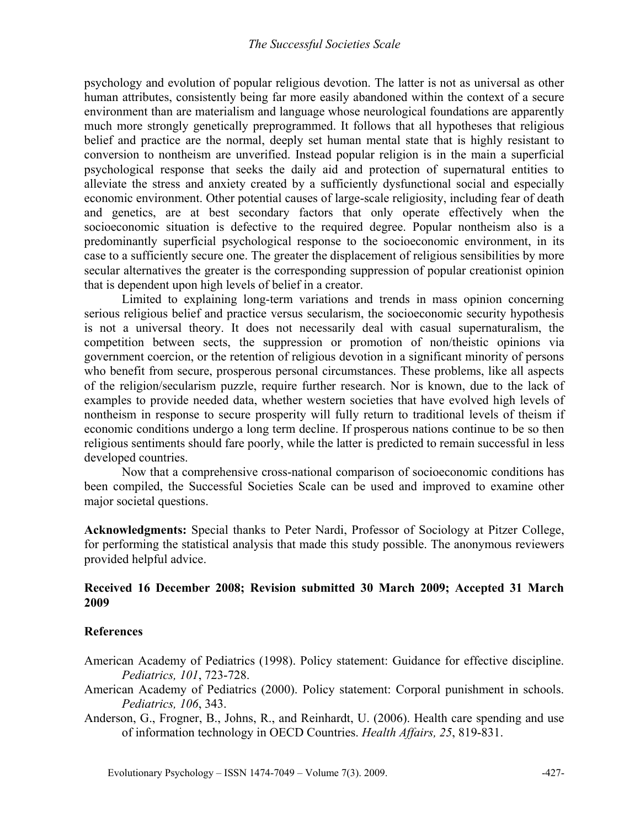psychology and evolution of popular religious devotion. The latter is not as universal as other human attributes, consistently being far more easily abandoned within the context of a secure environment than are materialism and language whose neurological foundations are apparently much more strongly genetically preprogrammed. It follows that all hypotheses that religious belief and practice are the normal, deeply set human mental state that is highly resistant to conversion to nontheism are unverified. Instead popular religion is in the main a superficial psychological response that seeks the daily aid and protection of supernatural entities to alleviate the stress and anxiety created by a sufficiently dysfunctional social and especially economic environment. Other potential causes of large-scale religiosity, including fear of death and genetics, are at best secondary factors that only operate effectively when the socioeconomic situation is defective to the required degree. Popular nontheism also is a predominantly superficial psychological response to the socioeconomic environment, in its case to a sufficiently secure one. The greater the displacement of religious sensibilities by more secular alternatives the greater is the corresponding suppression of popular creationist opinion that is dependent upon high levels of belief in a creator.

 Limited to explaining long-term variations and trends in mass opinion concerning serious religious belief and practice versus secularism, the socioeconomic security hypothesis is not a universal theory. It does not necessarily deal with casual supernaturalism, the competition between sects, the suppression or promotion of non/theistic opinions via government coercion, or the retention of religious devotion in a significant minority of persons who benefit from secure, prosperous personal circumstances. These problems, like all aspects of the religion/secularism puzzle, require further research. Nor is known, due to the lack of examples to provide needed data, whether western societies that have evolved high levels of nontheism in response to secure prosperity will fully return to traditional levels of theism if economic conditions undergo a long term decline. If prosperous nations continue to be so then religious sentiments should fare poorly, while the latter is predicted to remain successful in less developed countries.

 Now that a comprehensive cross-national comparison of socioeconomic conditions has been compiled, the Successful Societies Scale can be used and improved to examine other major societal questions.

**Acknowledgments:** Special thanks to Peter Nardi, Professor of Sociology at Pitzer College, for performing the statistical analysis that made this study possible. The anonymous reviewers provided helpful advice.

## **Received 16 December 2008; Revision submitted 30 March 2009; Accepted 31 March 2009**

## **References**

- American Academy of Pediatrics (1998). Policy statement: Guidance for effective discipline. *Pediatrics, 101*, 723-728.
- American Academy of Pediatrics (2000). Policy statement: Corporal punishment in schools. *Pediatrics, 106*, 343.
- Anderson, G., Frogner, B., Johns, R., and Reinhardt, U. (2006). Health care spending and use of information technology in OECD Countries. *Health Affairs, 25*, 819-831.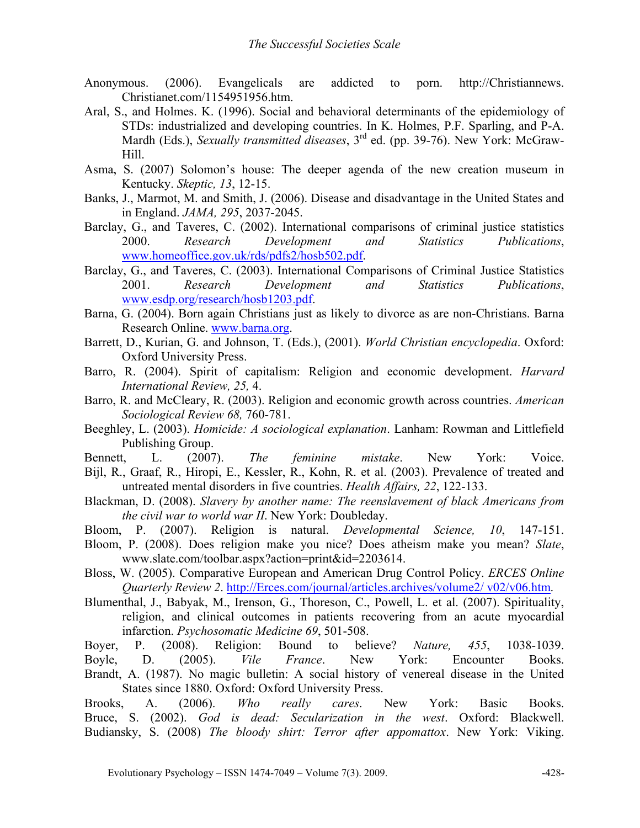- Anonymous. (2006). Evangelicals are addicted to porn. http://Christiannews. Christianet.com/1154951956.htm.
- Aral, S., and Holmes. K. (1996). Social and behavioral determinants of the epidemiology of STDs: industrialized and developing countries. In K. Holmes, P.F. Sparling, and P-A. Mardh (Eds.), *Sexually transmitted diseases*, 3rd ed. (pp. 39-76). New York: McGraw-Hill.
- Asma, S. (2007) Solomon's house: The deeper agenda of the new creation museum in Kentucky. *Skeptic, 13*, 12-15.
- Banks, J., Marmot, M. and Smith, J. (2006). Disease and disadvantage in the United States and in England. *JAMA, 295*, 2037-2045.
- Barclay, G., and Taveres, C. (2002). International comparisons of criminal justice statistics 2000. *Research Development and Statistics Publications*, [www.homeoffice.gov.uk/rds/pdfs2/hosb502.pdf](http://www.homeoffice.gov.uk/rds/pdfs2/hosb502.pdf).
- Barclay, G., and Taveres, C. (2003). International Comparisons of Criminal Justice Statistics 2001. *Research Development and Statistics Publications*, [www.esdp.org/research/hosb1203.pdf.](http://www.esdp.org/research/hosb1203.pdf)
- Barna, G. (2004). Born again Christians just as likely to divorce as are non-Christians. Barna Research Online. [www.barna.org.](http://www.barna.org/)
- Barrett, D., Kurian, G. and Johnson, T. (Eds.), (2001). *World Christian encyclopedia*. Oxford: Oxford University Press.
- Barro, R. (2004). Spirit of capitalism: Religion and economic development. *Harvard International Review, 25,* 4.
- Barro, R. and McCleary, R. (2003). Religion and economic growth across countries. *American Sociological Review 68,* 760-781.
- Beeghley, L. (2003). *Homicide: A sociological explanation*. Lanham: Rowman and Littlefield Publishing Group.
- Bennett, L. (2007). *The feminine mistake*. New York: Voice. Bijl, R., Graaf, R., Hiropi, E., Kessler, R., Kohn, R. et al. (2003). Prevalence of treated and untreated mental disorders in five countries. *Health Affairs, 22*, 122-133.
- Blackman, D. (2008). *Slavery by another name: The reenslavement of black Americans from the civil war to world war II*. New York: Doubleday.
- Bloom, P. (2007). Religion is natural. *Developmental Science, 10*, 147-151.
- Bloom, P. (2008). Does religion make you nice? Does atheism make you mean? *Slate*, www.slate.com/toolbar.aspx?action=print&id=2203614.
- Bloss, W. (2005). Comparative European and American Drug Control Policy. *ERCES Online Quarterly Review 2*. [http://Erces.com/journal/articles.archives/volume2/ v02/v06.htm.](http://erces.com/journal/articles.archives/volume2/%20v02/v06.htm)
- Blumenthal, J., Babyak, M., Irenson, G., Thoreson, C., Powell, L. et al. (2007). Spirituality, religion, and clinical outcomes in patients recovering from an acute myocardial infarction. *Psychosomatic Medicine 69*, 501-508.

Boyer, P. (2008). Religion: Bound to believe? *Nature, 455*, 1038-1039. Boyle, D. (2005). *Vile France*. New York: Encounter Books. Brandt, A. (1987). No magic bulletin: A social history of venereal disease in the United States since 1880. Oxford: Oxford University Press.

Brooks, A. (2006). *Who really cares*. New York: Basic Books. Bruce, S. (2002). *God is dead: Secularization in the west*. Oxford: Blackwell. Budiansky, S. (2008) *The bloody shirt: Terror after appomattox*. New York: Viking.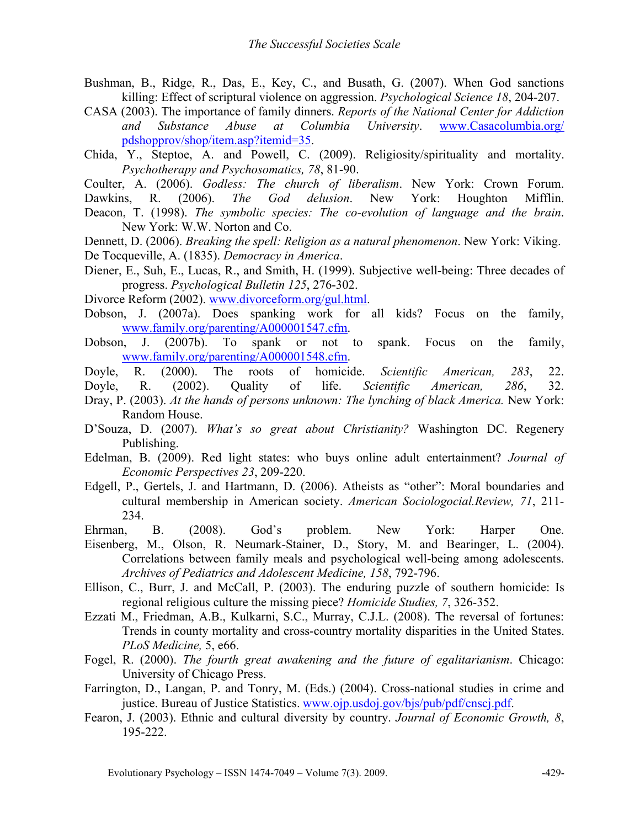- Bushman, B., Ridge, R., Das, E., Key, C., and Busath, G. (2007). When God sanctions killing: Effect of scriptural violence on aggression. *Psychological Science 18*, 204-207.
- CASA (2003). The importance of family dinners. *Reports of the National Center for Addiction and Substance Abuse at Columbia University*. [www.Casacolumbia.org/](http://www.casacolumbia.org/%20pdshopprov/shop/item.asp?itemid=35)  [pdshopprov/shop/item.asp?itemid=35.](http://www.casacolumbia.org/%20pdshopprov/shop/item.asp?itemid=35)
- Chida, Y., Steptoe, A. and Powell, C. (2009). Religiosity/spirituality and mortality. *Psychotherapy and Psychosomatics, 78*, 81-90.
- Coulter, A. (2006). *Godless: The church of liberalism*. New York: Crown Forum.
- Dawkins, R. (2006). *The God delusion*. New York: Houghton Mifflin. Deacon, T. (1998). *The symbolic species: The co-evolution of language and the brain*. New York: W.W. Norton and Co.
- Dennett, D. (2006). *Breaking the spell: Religion as a natural phenomenon*. New York: Viking. De Tocqueville, A. (1835). *Democracy in America*.
- Diener, E., Suh, E., Lucas, R., and Smith, H. (1999). Subjective well-being: Three decades of progress. *Psychological Bulletin 125*, 276-302.

Divorce Reform (2002). [www.divorceform.org/gul.html](http://www.divorceform.org/gul.html).

- Dobson, J. (2007a). Does spanking work for all kids? Focus on the family, [www.family.org/parenting/A000001547.cfm](http://www.family.org/parenting/A000001547.cfm).
- Dobson, J. (2007b). To spank or not to spank. Focus on the family, [www.family.org/parenting/A000001548.cfm](http://www.family.org/parenting/A000001548.cfm).
- Doyle, R. (2000). The roots of homicide. *Scientific American, 283*, 22.
- Doyle, R. (2002). Quality of life. *Scientific American, 286*, 32.
- Dray, P. (2003). *At the hands of persons unknown: The lynching of black America.* New York: Random House.
- D'Souza, D. (2007). *What's so great about Christianity?* Washington DC. Regenery Publishing.
- Edelman, B. (2009). Red light states: who buys online adult entertainment? *Journal of Economic Perspectives 23*, 209-220.
- Edgell, P., Gertels, J. and Hartmann, D. (2006). Atheists as "other": Moral boundaries and cultural membership in American society. *American Sociologocial.Review, 71*, 211- 234.
- Ehrman, B. (2008). God's problem. New York: Harper One.
- Eisenberg, M., Olson, R. Neumark-Stainer, D., Story, M. and Bearinger, L. (2004). Correlations between family meals and psychological well-being among adolescents. *Archives of Pediatrics and Adolescent Medicine, 158*, 792-796.
- Ellison, C., Burr, J. and McCall, P. (2003). The enduring puzzle of southern homicide: Is regional religious culture the missing piece? *Homicide Studies, 7*, 326-352.
- Ezzati M., Friedman, A.B., Kulkarni, S.C., Murray, C.J.L. (2008). The reversal of fortunes: Trends in county mortality and cross-country mortality disparities in the United States. *PLoS Medicine,* 5, e66.
- Fogel, R. (2000). *The fourth great awakening and the future of egalitarianism*. Chicago: University of Chicago Press.
- Farrington, D., Langan, P. and Tonry, M. (Eds.) (2004). Cross-national studies in crime and justice. Bureau of Justice Statistics. [www.ojp.usdoj.gov/bjs/pub/pdf/cnscj.pdf](http://www.ojp.usdoj.gov/bjs/pub/pdf/cnscj.pdf).
- Fearon, J. (2003). Ethnic and cultural diversity by country. *Journal of Economic Growth, 8*, 195-222.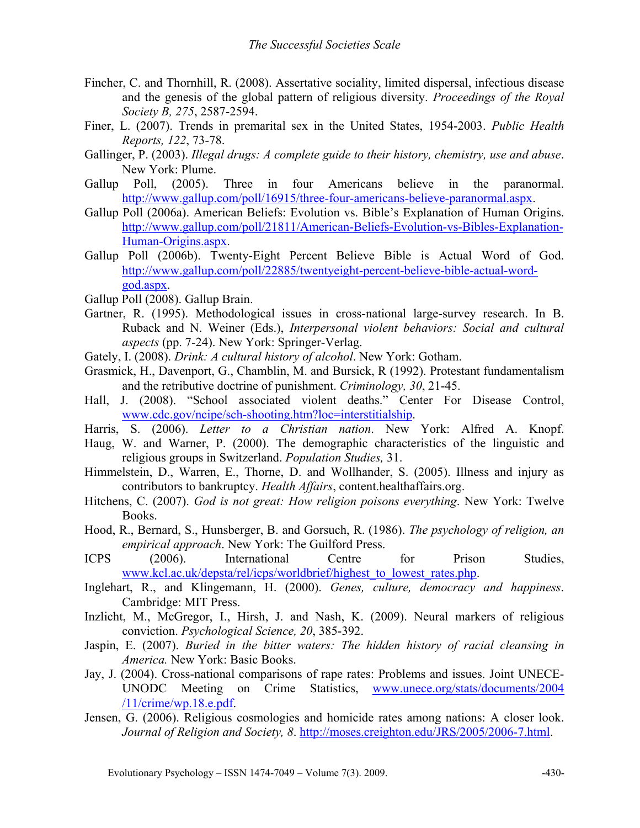- Fincher, C. and Thornhill, R. (2008). Assertative sociality, limited dispersal, infectious disease and the genesis of the global pattern of religious diversity. *Proceedings of the Royal Society B, 275*, 2587-2594.
- Finer, L. (2007). Trends in premarital sex in the United States, 1954-2003. *Public Health Reports, 122*, 73-78.
- Gallinger, P. (2003). *Illegal drugs: A complete guide to their history, chemistry, use and abuse*. New York: Plume.
- Gallup Poll, (2005). Three in four Americans believe in the paranormal. [http://www.gallup.com/poll/16915/three-four-americans-believe-paranormal.aspx.](http://www.gallup.com/poll/16915/three-four-americans-believe-paranormal.aspx)
- Gallup Poll (2006a). American Beliefs: Evolution vs. Bible's Explanation of Human Origins. [http://www.gallup.com/poll/21811/American-Beliefs-Evolution-vs-Bibles-Explanation-](http://www.gallup.com/poll/21811/American-Beliefs-Evolution-vs-Bibles-Explanation-Human-Origins.aspx)[Human-Origins.aspx](http://www.gallup.com/poll/21811/American-Beliefs-Evolution-vs-Bibles-Explanation-Human-Origins.aspx).
- Gallup Poll (2006b). Twenty-Eight Percent Believe Bible is Actual Word of God. [http://www.gallup.com/poll/22885/twentyeight-percent-believe-bible-actual-word](http://www.gallup.com/poll/22885/twentyeight-percent-believe-bible-actual-word-god.aspx)[god.aspx.](http://www.gallup.com/poll/22885/twentyeight-percent-believe-bible-actual-word-god.aspx)
- Gallup Poll (2008). Gallup Brain.
- Gartner, R. (1995). Methodological issues in cross-national large-survey research. In B. Ruback and N. Weiner (Eds.), *Interpersonal violent behaviors: Social and cultural aspects* (pp. 7-24). New York: Springer-Verlag.
- Gately, I. (2008). *Drink: A cultural history of alcohol*. New York: Gotham.
- Grasmick, H., Davenport, G., Chamblin, M. and Bursick, R (1992). Protestant fundamentalism and the retributive doctrine of punishment. *Criminology, 30*, 21-45.
- Hall, J. (2008). "School associated violent deaths." Center For Disease Control, [www.cdc.gov/ncipe/sch-shooting.htm?loc=interstitialship.](http://www.cdc.gov/ncipe/sch-shooting.htm?loc=interstitialship)
- Harris, S. (2006). *Letter to a Christian nation*. New York: Alfred A. Knopf.
- Haug, W. and Warner, P. (2000). The demographic characteristics of the linguistic and religious groups in Switzerland. *Population Studies,* 31.
- Himmelstein, D., Warren, E., Thorne, D. and Wollhander, S. (2005). Illness and injury as contributors to bankruptcy. *Health Affairs*, content.healthaffairs.org.
- Hitchens, C. (2007). *God is not great: How religion poisons everything*. New York: Twelve Books.
- Hood, R., Bernard, S., Hunsberger, B. and Gorsuch, R. (1986). *The psychology of religion, an empirical approach*. New York: The Guilford Press.
- ICPS (2006). International Centre for Prison Studies, [www.kcl.ac.uk/depsta/rel/icps/worldbrief/highest\\_to\\_lowest\\_rates.php](http://www.kcl.ac.uk/depsta/rel/icps/worldbrief/highest_to_lowest_rates.php).
- Inglehart, R., and Klingemann, H. (2000). *Genes, culture, democracy and happiness*. Cambridge: MIT Press.
- Inzlicht, M., McGregor, I., Hirsh, J. and Nash, K. (2009). Neural markers of religious conviction. *Psychological Science, 20*, 385-392.
- Jaspin, E. (2007). *Buried in the bitter waters: The hidden history of racial cleansing in America.* New York: Basic Books.
- Jay, J. (2004). Cross-national comparisons of rape rates: Problems and issues. Joint UNECE-UNODC Meeting on Crime Statistics, [www.unece.org/stats/documents/2004](http://www.unece.org/stats/documents/2004%20/11/crime/wp.18.e.pdf)  [/11/crime/wp.18.e.pdf](http://www.unece.org/stats/documents/2004%20/11/crime/wp.18.e.pdf).
- Jensen, G. (2006). Religious cosmologies and homicide rates among nations: A closer look. *Journal of Religion and Society, 8*. <http://moses.creighton.edu/JRS/2005/2006-7.html>.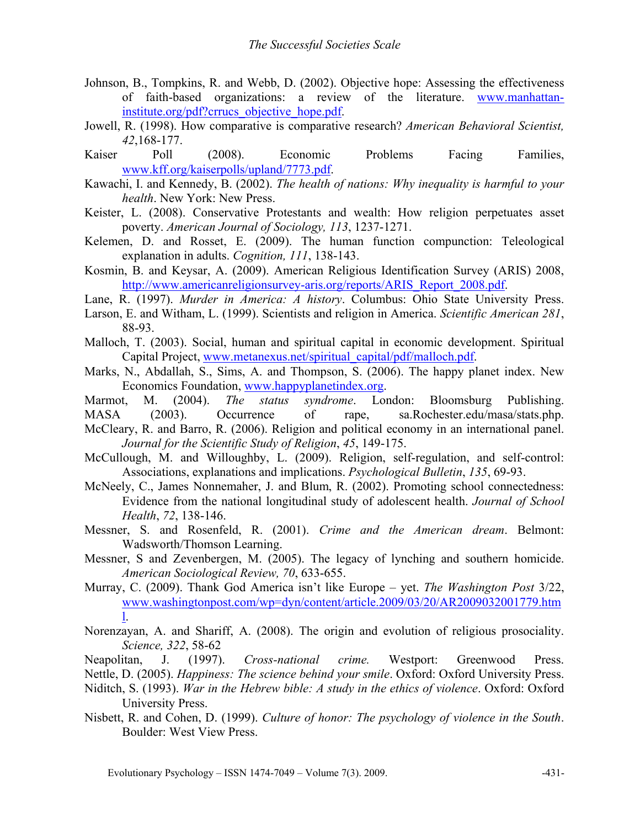- Johnson, B., Tompkins, R. and Webb, D. (2002). Objective hope: Assessing the effectiveness of faith-based organizations: a review of the literature. [www.manhattan](http://www.manhattan-institute.org/pdf?crrucs_objective_hope.pdf)[institute.org/pdf?crrucs\\_objective\\_hope.pdf.](http://www.manhattan-institute.org/pdf?crrucs_objective_hope.pdf)
- Jowell, R. (1998). How comparative is comparative research? *American Behavioral Scientist, 42*,168-177.
- Kaiser Poll (2008). Economic Problems Facing Families, [www.kff.org/kaiserpolls/upland/7773.pdf](http://www.kff.org/kaiserpolls/upland/7773.pdf).
- Kawachi, I. and Kennedy, B. (2002). *The health of nations: Why inequality is harmful to your health*. New York: New Press.
- Keister, L. (2008). Conservative Protestants and wealth: How religion perpetuates asset poverty. *American Journal of Sociology, 113*, 1237-1271.
- Kelemen, D. and Rosset, E. (2009). The human function compunction: Teleological explanation in adults. *Cognition, 111*, 138-143.
- Kosmin, B. and Keysar, A. (2009). American Religious Identification Survey (ARIS) 2008, [http://www.americanreligionsurvey-aris.org/reports/ARIS\\_Report\\_2008.pdf](http://www.americanreligionsurvey-aris.org/reports/ARIS_Report_2008.pdf).
- Lane, R. (1997). *Murder in America: A history*. Columbus: Ohio State University Press.
- Larson, E. and Witham, L. (1999). Scientists and religion in America. *Scientific American 281*, 88-93.
- Malloch, T. (2003). Social, human and spiritual capital in economic development. Spiritual Capital Project, [www.metanexus.net/spiritual\\_capital/pdf/malloch.pdf.](http://www.metanexus.net/spiritual_capital/pdf/malloch.pdf)
- Marks, N., Abdallah, S., Sims, A. and Thompson, S. (2006). The happy planet index. New Economics Foundation, [www.happyplanetindex.org](http://www.happyplanetindex.org/).
- Marmot, M. (2004). *The status syndrome*. London: Bloomsburg Publishing.
- MASA (2003). Occurrence of rape, sa.Rochester.edu/masa/stats.php. McCleary, R. and Barro, R. (2006). Religion and political economy in an international panel. *Journal for the Scientific Study of Religion*, *45*, 149-175.
- McCullough, M. and Willoughby, L. (2009). Religion, self-regulation, and self-control: Associations, explanations and implications. *Psychological Bulletin*, *135*, 69-93.
- McNeely, C., James Nonnemaher, J. and Blum, R. (2002). Promoting school connectedness: Evidence from the national longitudinal study of adolescent health. *Journal of School Health*, *72*, 138-146.
- Messner, S. and Rosenfeld, R. (2001). *Crime and the American dream*. Belmont: Wadsworth/Thomson Learning.
- Messner, S and Zevenbergen, M. (2005). The legacy of lynching and southern homicide. *American Sociological Review, 70*, 633-655.
- Murray, C. (2009). Thank God America isn't like Europe yet. *The Washington Post* 3/22, [www.washingtonpost.com/wp=dyn/content/article.2009/03/20/AR2009032001779.htm](http://www.washingtonpost.com/wp=dyn/content/article.2009/03/20/AR2009032001779.html) [l](http://www.washingtonpost.com/wp=dyn/content/article.2009/03/20/AR2009032001779.html).
- Norenzayan, A. and Shariff, A. (2008). The origin and evolution of religious prosociality. *Science, 322*, 58-62
- Neapolitan, J. (1997). *Cross-national crime.* Westport: Greenwood Press.
- Nettle, D. (2005). *Happiness: The science behind your smile*. Oxford: Oxford University Press.
- Niditch, S. (1993). *War in the Hebrew bible: A study in the ethics of violence*. Oxford: Oxford University Press.
- Nisbett, R. and Cohen, D. (1999). *Culture of honor: The psychology of violence in the South*. Boulder: West View Press.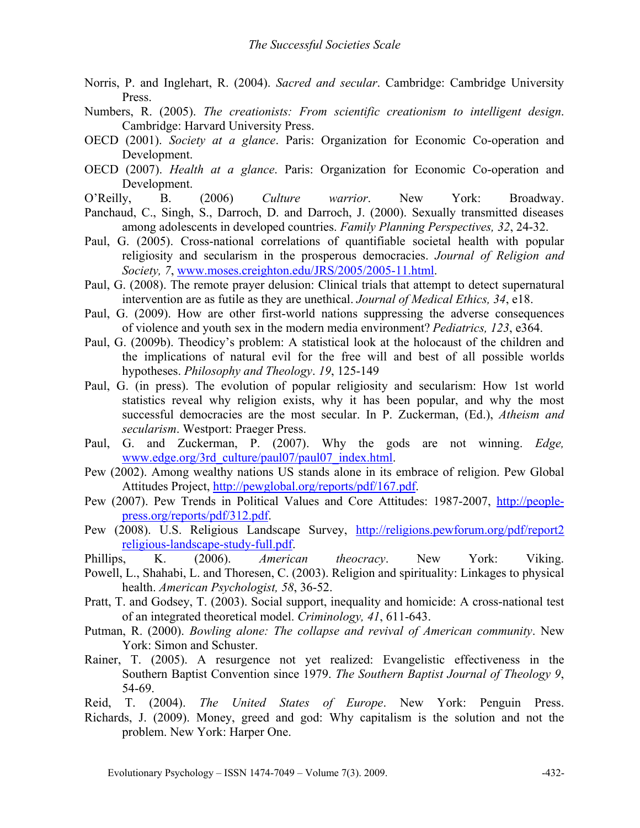- Norris, P. and Inglehart, R. (2004). *Sacred and secular*. Cambridge: Cambridge University Press.
- Numbers, R. (2005). *The creationists: From scientific creationism to intelligent design*. Cambridge: Harvard University Press.
- OECD (2001). *Society at a glance*. Paris: Organization for Economic Co-operation and Development.
- OECD (2007). *Health at a glance*. Paris: Organization for Economic Co-operation and Development.
- O'Reilly, B. (2006) *Culture warrior*. New York: Broadway. Panchaud, C., Singh, S., Darroch, D. and Darroch, J. (2000). Sexually transmitted diseases
- among adolescents in developed countries. *Family Planning Perspectives, 32*, 24-32.
- Paul, G. (2005). Cross-national correlations of quantifiable societal health with popular religiosity and secularism in the prosperous democracies. *Journal of Religion and Society, 7*, [www.moses.creighton.edu/JRS/2005/2005-11.html](http://www.moses.creighton.edu/JRS/2005/2005-11.html).
- Paul, G. (2008). The remote prayer delusion: Clinical trials that attempt to detect supernatural intervention are as futile as they are unethical. *Journal of Medical Ethics, 34*, e18.
- Paul, G. (2009). How are other first-world nations suppressing the adverse consequences of violence and youth sex in the modern media environment? *Pediatrics, 123*, e364.
- Paul, G. (2009b). Theodicy's problem: A statistical look at the holocaust of the children and the implications of natural evil for the free will and best of all possible worlds hypotheses. *Philosophy and Theology*. *19*, 125-149
- Paul, G. (in press). The evolution of popular religiosity and secularism: How 1st world statistics reveal why religion exists, why it has been popular, and why the most successful democracies are the most secular. In P. Zuckerman, (Ed.), *Atheism and secularism*. Westport: Praeger Press.
- Paul, G. and Zuckerman, P. (2007). Why the gods are not winning. *Edge,*  [www.edge.org/3rd\\_culture/paul07/paul07\\_index.html.](http://www.edge.org/3rd_culture/paul07/paul07_index.html)
- Pew (2002). Among wealthy nations US stands alone in its embrace of religion. Pew Global Attitudes Project, [http://pewglobal.org/reports/pdf/167.pdf.](http://pewglobal.org/reports/pdf/167.pdf)
- Pew (2007). Pew Trends in Political Values and Core Attitudes: 1987-2007, [http://people](http://people-press.org/reports/pdf/312.pdf)[press.org/reports/pdf/312.pdf.](http://people-press.org/reports/pdf/312.pdf)
- Pew (2008). U.S. Religious Landscape Survey, [http://religions.pewforum.org/pdf/report2](http://religions.pewforum.org/pdf/report2%20religious-landscape-study-full.pdf)  [religious-landscape-study-full.pdf.](http://religions.pewforum.org/pdf/report2%20religious-landscape-study-full.pdf)
- Phillips, K. (2006). *American theocracy*. New York: Viking.
- Powell, L., Shahabi, L. and Thoresen, C. (2003). Religion and spirituality: Linkages to physical health. *American Psychologist, 58*, 36-52.
- Pratt, T. and Godsey, T. (2003). Social support, inequality and homicide: A cross-national test of an integrated theoretical model. *Criminology, 41*, 611-643.
- Putman, R. (2000). *Bowling alone: The collapse and revival of American community*. New York: Simon and Schuster.
- Rainer, T. (2005). A resurgence not yet realized: Evangelistic effectiveness in the Southern Baptist Convention since 1979. *The Southern Baptist Journal of Theology 9*, 54-69.
- Reid, T. (2004). *The United States of Europe*. New York: Penguin Press.
- Richards, J. (2009). Money, greed and god: Why capitalism is the solution and not the problem. New York: Harper One.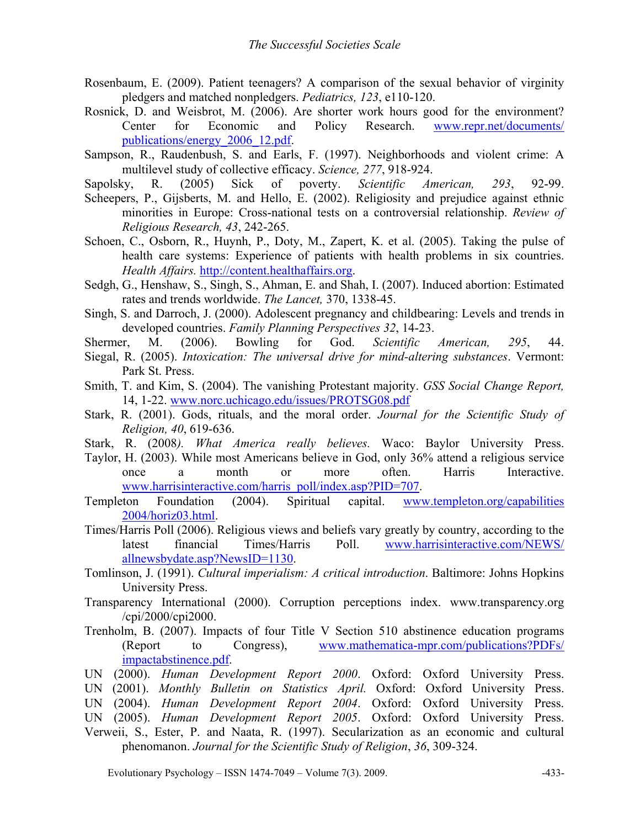- Rosenbaum, E. (2009). Patient teenagers? A comparison of the sexual behavior of virginity pledgers and matched nonpledgers. *Pediatrics, 123*, e110-120.
- Rosnick, D. and Weisbrot, M. (2006). Are shorter work hours good for the environment? Center for Economic and Policy Research. [www.repr.net/documents/](http://www.repr.net/documents/%20publications/energy_2006_12.pdf)  [publications/energy\\_2006\\_12.pdf.](http://www.repr.net/documents/%20publications/energy_2006_12.pdf)
- Sampson, R., Raudenbush, S. and Earls, F. (1997). Neighborhoods and violent crime: A multilevel study of collective efficacy. *Science, 277*, 918-924.
- Sapolsky, R. (2005) Sick of poverty. *Scientific American, 293*, 92-99.
- Scheepers, P., Gijsberts, M. and Hello, E. (2002). Religiosity and prejudice against ethnic minorities in Europe: Cross-national tests on a controversial relationship. *Review of Religious Research, 43*, 242-265.
- Schoen, C., Osborn, R., Huynh, P., Doty, M., Zapert, K. et al. (2005). Taking the pulse of health care systems: Experience of patients with health problems in six countries. *Health Affairs.* [http://content.healthaffairs.org](http://content.healthaffairs.org/).
- Sedgh, G., Henshaw, S., Singh, S., Ahman, E. and Shah, I. (2007). Induced abortion: Estimated rates and trends worldwide. *The Lancet,* 370, 1338-45.
- Singh, S. and Darroch, J. (2000). Adolescent pregnancy and childbearing: Levels and trends in developed countries. *Family Planning Perspectives 32*, 14-23.
- Shermer, M. (2006). Bowling for God. *Scientific American, 295*, 44.
- Siegal, R. (2005). *Intoxication: The universal drive for mind-altering substances*. Vermont: Park St. Press.
- Smith, T. and Kim, S. (2004). The vanishing Protestant majority. *GSS Social Change Report,*  14, 1-22. [www.norc.uchicago.edu/issues/PROTSG08.pdf](http://www.norc.uchicago.edu/issues/PROTSG08.pdf)
- Stark, R. (2001). Gods, rituals, and the moral order. *Journal for the Scientific Study of Religion, 40*, 619-636.
- Stark, R. (2008*). What America really believes.* Waco: Baylor University Press.
- Taylor, H. (2003). While most Americans believe in God, only 36% attend a religious service once a month or more often. Harris Interactive. [www.harrisinteractive.com/harris\\_poll/index.asp?PID=707](http://www.harrisinteractive.com/harris_poll/index.asp?PID=707).
- Templeton Foundation (2004). Spiritual capital. [www.templeton.org/capabilities](http://www.templeton.org/capabilities%202004/horiz03.html)  [2004/horiz03.html.](http://www.templeton.org/capabilities%202004/horiz03.html)
- Times/Harris Poll (2006). Religious views and beliefs vary greatly by country, according to the latest financial Times/Harris Poll. [www.harrisinteractive.com/NEWS/](http://www.harrisinteractive.com/NEWS/%20allnewsbydate.asp?NewsID=1130)  [allnewsbydate.asp?NewsID=1130.](http://www.harrisinteractive.com/NEWS/%20allnewsbydate.asp?NewsID=1130)
- Tomlinson, J. (1991). *Cultural imperialism: A critical introduction*. Baltimore: Johns Hopkins University Press.
- Transparency International (2000). Corruption perceptions index. www.transparency.org /cpi/2000/cpi2000.
- Trenholm, B. (2007). Impacts of four Title V Section 510 abstinence education programs (Report to Congress), [www.mathematica-mpr.com/publications?PDFs/](http://www.mathematica-mpr.com/publications?PDFs/%20impactabstinence.pdf)  [impactabstinence.pdf](http://www.mathematica-mpr.com/publications?PDFs/%20impactabstinence.pdf).
- UN (2000). *Human Development Report 2000*. Oxford: Oxford University Press.
- UN (2001). *Monthly Bulletin on Statistics April.* Oxford: Oxford University Press.
- UN (2004). *Human Development Report 2004*. Oxford: Oxford University Press.
- UN (2005). *Human Development Report 2005*. Oxford: Oxford University Press.
- Verweii, S., Ester, P. and Naata, R. (1997). Secularization as an economic and cultural phenomanon. *Journal for the Scientific Study of Religion*, *36*, 309-324.

Evolutionary Psychology – ISSN  $1474-7049$  – Volume 7(3). 2009.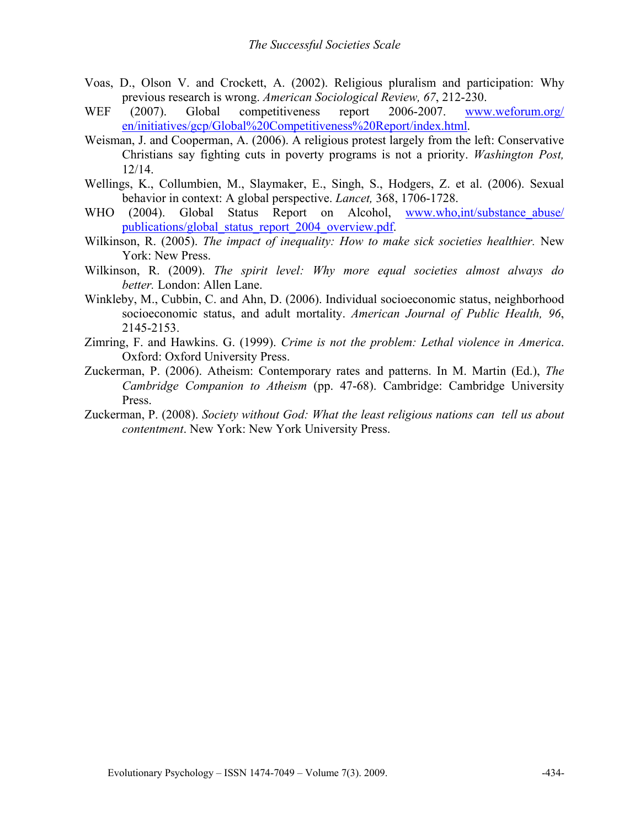- Voas, D., Olson V. and Crockett, A. (2002). Religious pluralism and participation: Why previous research is wrong. *American Sociological Review, 67*, 212-230.
- WEF (2007). Global competitiveness report 2006-2007. www.weforum.org/ [en/initiatives/gcp/Global%20Competitiveness%20Report/index.html](http://www.weforum.org/%20en/initiatives/gcp/Global%20Competitiveness%20Report/index.html).
- Weisman, J. and Cooperman, A. (2006). A religious protest largely from the left: Conservative Christians say fighting cuts in poverty programs is not a priority. *Washington Post,*  12/14.
- Wellings, K., Collumbien, M., Slaymaker, E., Singh, S., Hodgers, Z. et al. (2006). Sexual behavior in context: A global perspective. *Lancet,* 368, 1706-1728.
- WHO (2004). Global Status Report on Alcohol, www.who.int/substance\_abuse/ [publications/global\\_status\\_report\\_2004\\_overview.pdf](http://www.who,int/substance_abuse/%20publications/global_status_report_2004_overview.pdf).
- Wilkinson, R. (2005). *The impact of inequality: How to make sick societies healthier.* New York: New Press.
- Wilkinson, R. (2009). *The spirit level: Why more equal societies almost always do better.* London: Allen Lane.
- Winkleby, M., Cubbin, C. and Ahn, D. (2006). Individual socioeconomic status, neighborhood socioeconomic status, and adult mortality. *American Journal of Public Health, 96*, 2145-2153.
- Zimring, F. and Hawkins. G. (1999). *Crime is not the problem: Lethal violence in America*. Oxford: Oxford University Press.
- Zuckerman, P. (2006). Atheism: Contemporary rates and patterns. In M. Martin (Ed.), *The Cambridge Companion to Atheism* (pp. 47-68). Cambridge: Cambridge University Press.
- Zuckerman, P. (2008). *Society without God: What the least religious nations can tell us about contentment*. New York: New York University Press.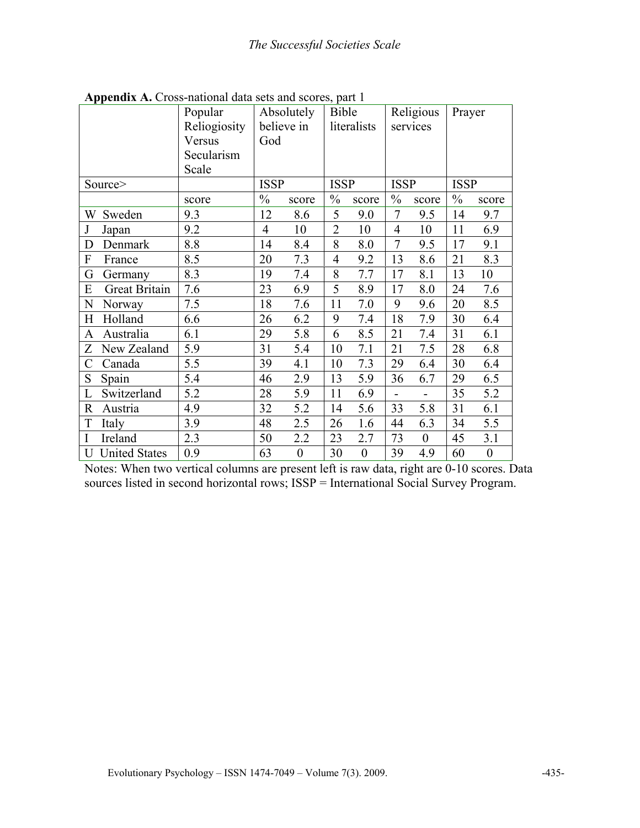|                           | Popular      | Absolutely     |                  | Bible          |                  | Religious      |                  | Prayer        |                  |
|---------------------------|--------------|----------------|------------------|----------------|------------------|----------------|------------------|---------------|------------------|
|                           | Reliogiosity |                | believe in       | literalists    |                  | services       |                  |               |                  |
|                           | Versus       | God            |                  |                |                  |                |                  |               |                  |
|                           | Secularism   |                |                  |                |                  |                |                  |               |                  |
|                           | Scale        |                |                  |                |                  |                |                  |               |                  |
| Source>                   |              | <b>ISSP</b>    |                  | <b>ISSP</b>    |                  | <b>ISSP</b>    |                  | <b>ISSP</b>   |                  |
|                           | score        | $\frac{0}{0}$  | score            | $\frac{0}{0}$  | score            | $\frac{0}{0}$  | score            | $\frac{0}{0}$ | score            |
| Sweden<br>W               | 9.3          | 12             | 8.6              | 5              | 9.0              | 7              | 9.5              | 14            | 9.7              |
| J<br>Japan                | 9.2          | $\overline{4}$ | 10               | $\overline{2}$ | 10               | $\overline{4}$ | 10               | 11            | 6.9              |
| Denmark<br>D              | 8.8          | 14             | 8.4              | 8              | 8.0              | $\overline{7}$ | 9.5              | 17            | 9.1              |
| F<br>France               | 8.5          | 20             | 7.3              | $\overline{4}$ | 9.2              | 13             | 8.6              | 21            | 8.3              |
| G<br>Germany              | 8.3          | 19             | 7.4              | 8              | 7.7              | 17             | 8.1              | 13            | 10               |
| E<br><b>Great Britain</b> | 7.6          | 23             | 6.9              | 5              | 8.9              | 17             | 8.0              | 24            | 7.6              |
| N<br>Norway               | 7.5          | 18             | 7.6              | 11             | 7.0              | 9              | 9.6              | 20            | 8.5              |
| Holland<br>H              | 6.6          | 26             | 6.2              | 9              | 7.4              | 18             | 7.9              | 30            | 6.4              |
| Australia<br>A            | 6.1          | 29             | 5.8              | 6              | 8.5              | 21             | 7.4              | 31            | 6.1              |
| New Zealand<br>Z          | 5.9          | 31             | 5.4              | 10             | 7.1              | 21             | 7.5              | 28            | 6.8              |
| $\mathcal{C}$<br>Canada   | 5.5          | 39             | 4.1              | 10             | 7.3              | 29             | 6.4              | 30            | 6.4              |
| S<br>Spain                | 5.4          | 46             | 2.9              | 13             | 5.9              | 36             | 6.7              | 29            | 6.5              |
| L<br>Switzerland          | 5.2          | 28             | 5.9              | 11             | 6.9              | $\overline{a}$ |                  | 35            | 5.2              |
| Austria<br>$\mathbf R$    | 4.9          | 32             | 5.2              | 14             | 5.6              | 33             | 5.8              | 31            | 6.1              |
| T<br>Italy                | 3.9          | 48             | 2.5              | 26             | 1.6              | 44             | 6.3              | 34            | 5.5              |
| Ireland<br>I              | 2.3          | 50             | 2.2              | 23             | 2.7              | 73             | $\boldsymbol{0}$ | 45            | 3.1              |
| <b>United States</b><br>U | 0.9          | 63             | $\boldsymbol{0}$ | 30             | $\boldsymbol{0}$ | 39             | 4.9              | 60            | $\boldsymbol{0}$ |

**Appendix A.** Cross-national data sets and scores, part 1

Notes: When two vertical columns are present left is raw data, right are 0-10 scores. Data sources listed in second horizontal rows; ISSP = International Social Survey Program.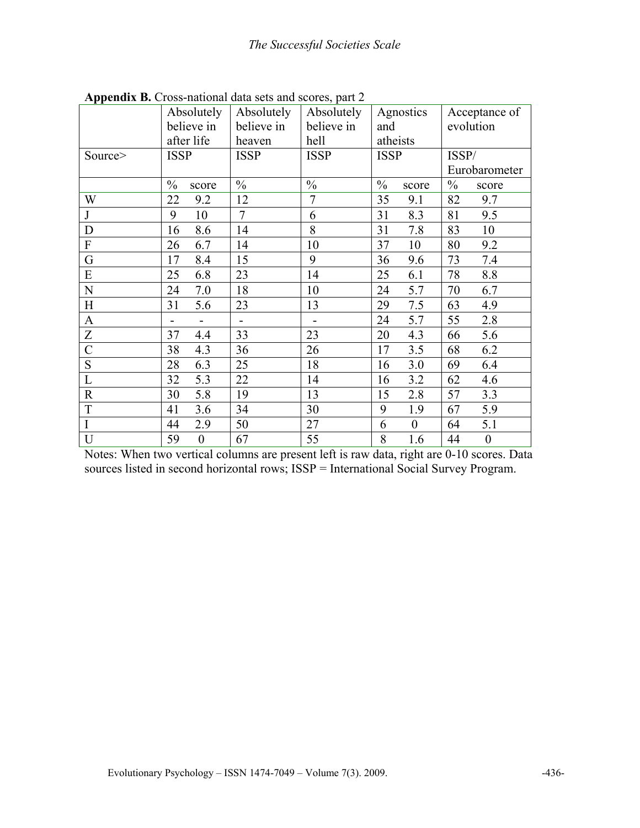| $\cdots$                  | Absolutely             | Absolutely     | Absolutely     | Agnostics              | Acceptance of          |  |  |
|---------------------------|------------------------|----------------|----------------|------------------------|------------------------|--|--|
|                           | believe in             | believe in     | believe in     | and                    | evolution              |  |  |
|                           | after life             | heaven         | hell           | atheists               |                        |  |  |
| Source>                   | <b>ISSP</b>            | <b>ISSP</b>    | <b>ISSP</b>    | <b>ISSP</b>            | ISSP/                  |  |  |
|                           |                        |                |                |                        | Eurobarometer          |  |  |
|                           | $\frac{0}{0}$<br>score | $\frac{0}{0}$  | $\frac{0}{0}$  | $\frac{0}{0}$<br>score | $\frac{0}{0}$<br>score |  |  |
| W                         | 22<br>9.2              | 12             | $\overline{7}$ | 35<br>9.1              | 82<br>9.7              |  |  |
| J                         | 9<br>10                | $\overline{7}$ | 6              | 8.3<br>31              | 9.5<br>81              |  |  |
| D                         | 16<br>8.6              | 14             | 8              | 7.8<br>31              | 10<br>83               |  |  |
| ${\bf F}$                 | 26<br>6.7              | 14             | 10             | 37<br>10               | 80<br>9.2              |  |  |
| $\overline{G}$            | 8.4<br>17              | 15             | 9              | 36<br>9.6              | 7.4<br>73              |  |  |
| E                         | 25<br>6.8              | 23             | 14             | 25<br>6.1              | 78<br>8.8              |  |  |
| ${\bf N}$                 | 24<br>7.0              | 18             | 10             | 5.7<br>24              | 70<br>6.7              |  |  |
| $\boldsymbol{\mathrm{H}}$ | 5.6<br>31              | 23             | 13             | 7.5<br>29              | 4.9<br>63              |  |  |
| $\mathbf{A}$              | $\overline{a}$         | $\blacksquare$ | $\blacksquare$ | 24<br>5.7              | 55<br>2.8              |  |  |
| Z                         | 37<br>4.4              | 33             | 23             | 4.3<br>20              | 5.6<br>66              |  |  |
| $\mathcal{C}$             | 38<br>4.3              | 36             | 26             | 3.5<br>17              | 68<br>6.2              |  |  |
| ${\bf S}$                 | 28<br>6.3              | 25             | 18             | 16<br>3.0              | 69<br>6.4              |  |  |
| $\mathbf{L}$              | 5.3<br>32              | 22             | 14             | 3.2<br>16              | 4.6<br>62              |  |  |
| ${\bf R}$                 | 5.8<br>30              | 19             | 13             | 15<br>2.8              | 57<br>3.3              |  |  |
| T                         | 41<br>3.6              | 34             | 30             | 9<br>1.9               | 5.9<br>67              |  |  |
| $\mathbf I$               | 2.9<br>44              | 50             | 27             | $\boldsymbol{0}$<br>6  | 5.1<br>64              |  |  |
| $\mathbf{U}$              | 59<br>$\boldsymbol{0}$ | 67             | 55             | 8<br>1.6               | $\boldsymbol{0}$<br>44 |  |  |

**Appendix B.** Cross-national data sets and scores, part 2.

Notes: When two vertical columns are present left is raw data, right are 0-10 scores. Data sources listed in second horizontal rows; ISSP = International Social Survey Program.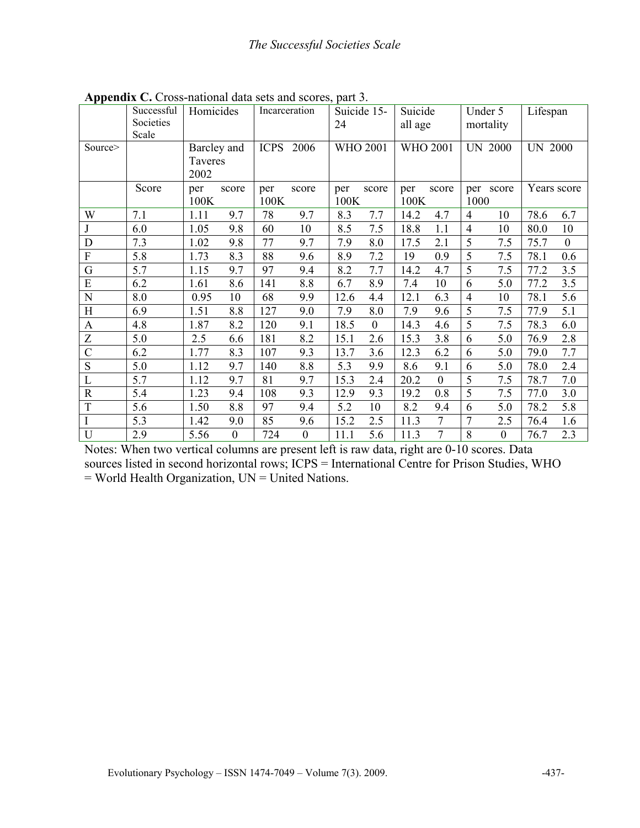|                | Exploration of Cross murdial data sets and secres, part st<br>Successful<br>Societies<br>Scale | Homicides       |             |             | Incarceration    | 24          | Suicide 15-      | Suicide<br>all age |                 |                | Under 5<br>mortality | Lifespan       |                  |
|----------------|------------------------------------------------------------------------------------------------|-----------------|-------------|-------------|------------------|-------------|------------------|--------------------|-----------------|----------------|----------------------|----------------|------------------|
| Source>        |                                                                                                | Taveres<br>2002 | Barcley and | <b>ICPS</b> | 2006             |             | <b>WHO 2001</b>  |                    | <b>WHO 2001</b> |                | UN 2000              | <b>UN 2000</b> |                  |
|                | Score                                                                                          | per<br>100K     | score       | per<br>100K | score            | per<br>100K | score            | per<br>100K        | score           | 1000           | per score            |                | Years score      |
| W              | 7.1                                                                                            | 1.11            | 9.7         | 78          | 9.7              | 8.3         | 7.7              | 14.2               | 4.7             | 4              | 10                   | 78.6           | 6.7              |
| J              | 6.0                                                                                            | 1.05            | 9.8         | 60          | 10               | 8.5         | 7.5              | 18.8               | 1.1             | 4              | 10                   | 80.0           | 10               |
| D              | 7.3                                                                                            | 1.02            | 9.8         | 77          | 9.7              | 7.9         | 8.0              | 17.5               | 2.1             | 5              | 7.5                  | 75.7           | $\boldsymbol{0}$ |
| $\overline{F}$ | 5.8                                                                                            | 1.73            | 8.3         | 88          | 9.6              | 8.9         | 7.2              | 19                 | 0.9             | 5              | 7.5                  | 78.1           | 0.6              |
| $\overline{G}$ | 5.7                                                                                            | 1.15            | 9.7         | 97          | 9.4              | 8.2         | 7.7              | 14.2               | 4.7             | 5              | 7.5                  | 77.2           | 3.5              |
| ${\bf E}$      | 6.2                                                                                            | 1.61            | 8.6         | 141         | 8.8              | 6.7         | 8.9              | 7.4                | 10              | 6              | 5.0                  | 77.2           | 3.5              |
| $\mathbf N$    | 8.0                                                                                            | 0.95            | 10          | 68          | 9.9              | 12.6        | 4.4              | 12.1               | 6.3             | $\overline{4}$ | 10                   | 78.1           | 5.6              |
| H              | 6.9                                                                                            | 1.51            | 8.8         | 127         | 9.0              | 7.9         | 8.0              | 7.9                | 9.6             | 5              | 7.5                  | 77.9           | 5.1              |
| $\mathbf{A}$   | 4.8                                                                                            | 1.87            | 8.2         | 120         | 9.1              | 18.5        | $\boldsymbol{0}$ | 14.3               | 4.6             | 5              | 7.5                  | 78.3           | 6.0              |
| Z              | 5.0                                                                                            | 2.5             | 6.6         | 181         | 8.2              | 15.1        | 2.6              | 15.3               | 3.8             | 6              | 5.0                  | 76.9           | 2.8              |
| $\mathcal{C}$  | 6.2                                                                                            | 1.77            | 8.3         | 107         | 9.3              | 13.7        | 3.6              | 12.3               | 6.2             | 6              | 5.0                  | 79.0           | 7.7              |
| S              | 5.0                                                                                            | 1.12            | 9.7         | 140         | 8.8              | 5.3         | 9.9              | 8.6                | 9.1             | 6              | 5.0                  | 78.0           | 2.4              |
| L              | 5.7                                                                                            | 1.12            | 9.7         | 81          | 9.7              | 15.3        | 2.4              | 20.2               | $\overline{0}$  | 5              | 7.5                  | 78.7           | 7.0              |
| ${\bf R}$      | 5.4                                                                                            | 1.23            | 9.4         | 108         | 9.3              | 12.9        | 9.3              | 19.2               | 0.8             | 5              | 7.5                  | 77.0           | 3.0              |
| T              | 5.6                                                                                            | 1.50            | 8.8         | 97          | 9.4              | 5.2         | 10               | 8.2                | 9.4             | 6              | 5.0                  | 78.2           | 5.8              |
| I              | 5.3                                                                                            | 1.42            | 9.0         | 85          | 9.6              | 15.2        | 2.5              | 11.3               | 7               | $\overline{7}$ | 2.5                  | 76.4           | 1.6              |
| U              | 2.9                                                                                            | 5.56            | $\theta$    | 724         | $\boldsymbol{0}$ | 11.1        | 5.6              | 11.3               | 7               | 8              | $\boldsymbol{0}$     | 76.7           | 2.3              |

**Appendix C.** Cross-national data sets and scores, part 3.

Notes: When two vertical columns are present left is raw data, right are 0-10 scores. Data sources listed in second horizontal rows; ICPS = International Centre for Prison Studies, WHO  $=$  World Health Organization, UN  $=$  United Nations.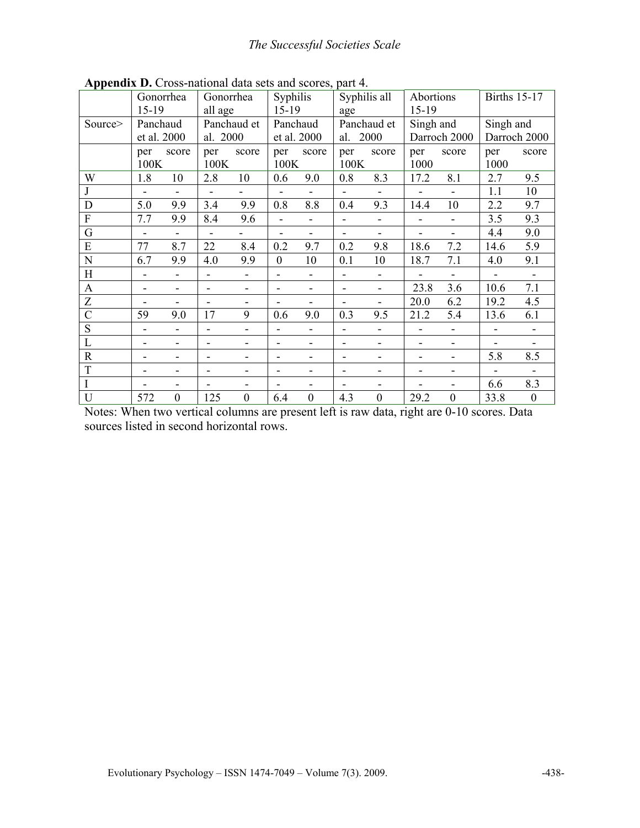| $\mu$ , prendix $\mu$ , $\sigma$ 1055 mational data bets and beores, | 15-19                    | Gonorrhea                    | Gonorrhea<br>all age     |                                        | <b>Syphilis</b><br>$15-19$ |                              | Syphilis all<br>age |                           | Abortions<br>$15-19$     |                           | <b>Births 15-17</b>      |                          |
|----------------------------------------------------------------------|--------------------------|------------------------------|--------------------------|----------------------------------------|----------------------------|------------------------------|---------------------|---------------------------|--------------------------|---------------------------|--------------------------|--------------------------|
| Source>                                                              | Panchaud                 | et al. 2000                  | al. 2000                 | Panchaud et<br>Panchaud<br>et al. 2000 |                            | Panchaud et<br>2000<br>al.   |                     | Singh and<br>Darroch 2000 |                          | Singh and<br>Darroch 2000 |                          |                          |
|                                                                      | per<br>100K              | score                        | per<br>100K              | score                                  | per<br>100K                | score                        | per<br>100K         | score                     | per<br>1000              | score                     | per<br>1000              | score                    |
| W                                                                    | 1.8                      | 10                           | 2.8                      | 10                                     | 0.6                        | 9.0                          | 0.8                 | 8.3                       | 17.2                     | 8.1                       | 2.7                      | 9.5                      |
| $\bf J$                                                              | $\blacksquare$           |                              |                          |                                        |                            |                              |                     |                           |                          |                           | 1.1                      | 10                       |
| D                                                                    | 5.0                      | 9.9                          | 3.4                      | 9.9                                    | 0.8                        | 8.8                          | 0.4                 | 9.3                       | 14.4                     | 10                        | 2.2                      | 9.7                      |
| $\mathbf F$                                                          | 7.7                      | 9.9                          | 8.4                      | 9.6                                    | ۰                          | $\qquad \qquad \blacksquare$ | $\blacksquare$      | $\blacksquare$            | $\overline{\phantom{a}}$ |                           | 3.5                      | 9.3                      |
| G                                                                    |                          |                              |                          |                                        |                            |                              |                     |                           |                          |                           | 4.4                      | 9.0                      |
| E                                                                    | 77                       | 8.7                          | 22                       | 8.4                                    | 0.2                        | 9.7                          | 0.2                 | 9.8                       | 18.6                     | 7.2                       | 14.6                     | 5.9                      |
| N                                                                    | 6.7                      | 9.9                          | 4.0                      | 9.9                                    | $\mathbf{0}$               | 10                           | 0.1                 | 10                        | 18.7                     | 7.1                       | 4.0                      | 9.1                      |
| H                                                                    | $\overline{\phantom{a}}$ | $\blacksquare$               | $\overline{\phantom{a}}$ | $\overline{\phantom{a}}$               | ۰                          | $\overline{\phantom{a}}$     | ٠                   | -                         | $\overline{\phantom{a}}$ | $\blacksquare$            | ۰                        | $\overline{\phantom{a}}$ |
| $\mathbf{A}$                                                         | $\overline{\phantom{0}}$ |                              | $\overline{\phantom{a}}$ | $\overline{\phantom{a}}$               |                            |                              |                     | ÷,                        | 23.8                     | 3.6                       | 10.6                     | 7.1                      |
| Z                                                                    |                          |                              |                          |                                        |                            |                              |                     |                           | 20.0                     | 6.2                       | 19.2                     | 4.5                      |
| $\mathcal{C}$                                                        | 59                       | 9.0                          | 17                       | 9                                      | 0.6                        | 9.0                          | 0.3                 | 9.5                       | 21.2                     | 5.4                       | 13.6                     | 6.1                      |
| S                                                                    | $\overline{\phantom{0}}$ | $\overline{\phantom{a}}$     | $\blacksquare$           | $\overline{\phantom{a}}$               | ۰                          | $\overline{\phantom{a}}$     | ٠                   | $\blacksquare$            | $\overline{\phantom{a}}$ | $\blacksquare$            | $\overline{\phantom{0}}$ | $\blacksquare$           |
| L                                                                    | $\overline{\phantom{a}}$ |                              | $\overline{\phantom{a}}$ | $\overline{\phantom{a}}$               | Ξ.                         | $\overline{\phantom{a}}$     |                     |                           | $\blacksquare$           |                           |                          |                          |
| $\mathbf R$                                                          |                          |                              |                          |                                        |                            |                              |                     |                           |                          |                           | 5.8                      | 8.5                      |
| T                                                                    |                          |                              |                          | -                                      |                            |                              |                     |                           |                          |                           | $\overline{\phantom{0}}$ |                          |
| I                                                                    |                          | $\qquad \qquad \blacksquare$ | $\overline{\phantom{a}}$ | -                                      |                            | $\qquad \qquad \blacksquare$ |                     | -                         | -                        | $\overline{\phantom{a}}$  | 6.6                      | 8.3                      |
| U                                                                    | 572                      | $\overline{0}$               | 125                      | $\boldsymbol{0}$                       | 6.4                        | $\boldsymbol{0}$             | 4.3                 | $\boldsymbol{0}$          | 29.2                     | $\boldsymbol{0}$          | 33.8                     | $\boldsymbol{0}$         |

**Appendix D.** Cross-national data sets and scores, part 4.

Notes: When two vertical columns are present left is raw data, right are 0-10 scores. Data sources listed in second horizontal rows.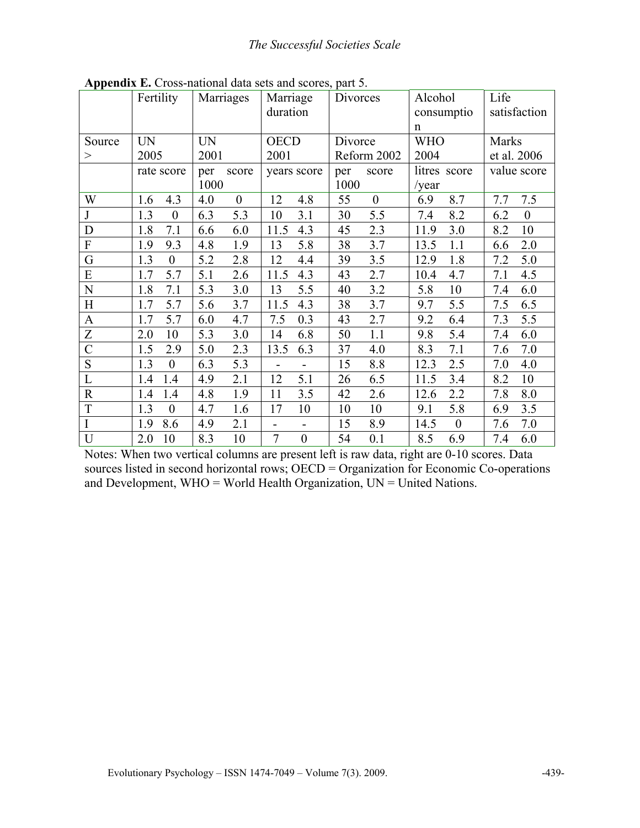|                | Fertility        | Marriages    | Marriage       | Divorces     | Alcohol                  | Life             |  |
|----------------|------------------|--------------|----------------|--------------|--------------------------|------------------|--|
|                |                  |              | duration       |              | consumptio               | satisfaction     |  |
|                |                  |              |                |              | $\mathbf n$              |                  |  |
| Source         | <b>UN</b>        | <b>UN</b>    | <b>OECD</b>    | Divorce      | <b>WHO</b>               | Marks            |  |
| >              | 2005             | 2001         | 2001           | Reform 2002  | 2004                     | et al. 2006      |  |
|                | rate score       | score<br>per | years score    | per<br>score | litres score             | value score      |  |
|                |                  | 1000         |                | 1000         | /year                    |                  |  |
| W              | 4.3              | $\mathbf{0}$ | 12             | 55           | 8.7                      | 7.7              |  |
|                | 1.6              | 4.0          | 4.8            | $\mathbf{0}$ | 6.9                      | 7.5              |  |
| $\mathbf J$    | $\boldsymbol{0}$ | 5.3          | 10             | 5.5          | 8.2                      | 6.2              |  |
|                | 1.3              | 6.3          | 3.1            | 30           | 7.4                      | $\boldsymbol{0}$ |  |
| D              | 7.1              | 6.0          | 11.5           | 2.3          | 3.0                      | 10               |  |
|                | 1.8              | 6.6          | 4.3            | 45           | 11.9                     | 8.2              |  |
| ${\bf F}$      | 9.3              | 4.8          | 13             | 38           | 13.5                     | 2.0              |  |
|                | 1.9              | 1.9          | 5.8            | 3.7          | 1.1                      | 6.6              |  |
| G              | 1.3              | 5.2          | 12             | 3.5          | 1.8                      | 5.0              |  |
|                | $\overline{0}$   | 2.8          | 4.4            | 39           | 12.9                     | 7.2              |  |
| E              | 5.7              | 2.6          | 11.5           | 2.7          | 10.4                     | 4.5              |  |
|                | 1.7              | 5.1          | 4.3            | 43           | 4.7                      | 7.1              |  |
| $\overline{N}$ | 7.1              | 5.3          | 13             | 3.2          | 10                       | 7.4              |  |
|                | 1.8              | 3.0          | 5.5            | 40           | 5.8                      | 6.0              |  |
| H              | 5.7              | 5.6          | 11.5           | 38           | 5.5                      | 7.5              |  |
|                | 1.7              | 3.7          | 4.3            | 3.7          | 9.7                      | 6.5              |  |
| $\overline{A}$ | 1.7              | 4.7          | 7.5            | 43           | 6.4                      | 7.3              |  |
|                | 5.7              | 6.0          | 0.3            | 2.7          | 9.2                      | 5.5              |  |
| Z              | 10               | 5.3          | 6.8            | 50           | 9.8                      | 6.0              |  |
|                | 2.0              | 3.0          | 14             | 1.1          | 5.4                      | 7.4              |  |
| $\mathcal{C}$  | 2.9              | 2.3          | 13.5           | 37           | 8.3                      | 7.0              |  |
|                | 1.5              | 5.0          | 6.3            | 4.0          | 7.1                      | 7.6              |  |
| S              | 1.3              | 5.3          | $\overline{a}$ | 15           | 12.3                     | 4.0              |  |
|                | $\boldsymbol{0}$ | 6.3          | $\overline{a}$ | 8.8          | 2.5                      | 7.0              |  |
| L              | 1.4              | 2.1          | 5.1            | 26           | 3.4                      | 8.2              |  |
|                | 1.4              | 4.9          | 12             | 6.5          | 11.5                     | 10               |  |
| ${\bf R}$      | 1.4              | 1.9          | 11             | 2.6          | 2.2                      | 7.8              |  |
|                | 1.4              | 4.8          | 3.5            | 42           | 12.6                     | 8.0              |  |
| T              | 1.3              | 1.6          | 17             | 10           | 9.1                      | 3.5              |  |
|                | $\boldsymbol{0}$ | 4.7          | 10             | 10           | 5.8                      | 6.9              |  |
| $\overline{I}$ | 8.6<br>1.9       | 4.9<br>2.1   | $\overline{a}$ | 15<br>8.9    | 14.5<br>$\boldsymbol{0}$ | 7.6<br>7.0       |  |
| U              | 2.0              | 10           | $\overline{7}$ | 54           | 6.9                      | 7.4              |  |
|                | 10               | 8.3          | $\mathbf{0}$   | 0.1          | 8.5                      | 6.0              |  |

**Appendix E.** Cross-national data sets and scores, part 5.

Notes: When two vertical columns are present left is raw data, right are 0-10 scores. Data sources listed in second horizontal rows; OECD = Organization for Economic Co-operations and Development,  $WHO = World Health Organization, UN = United Nations.$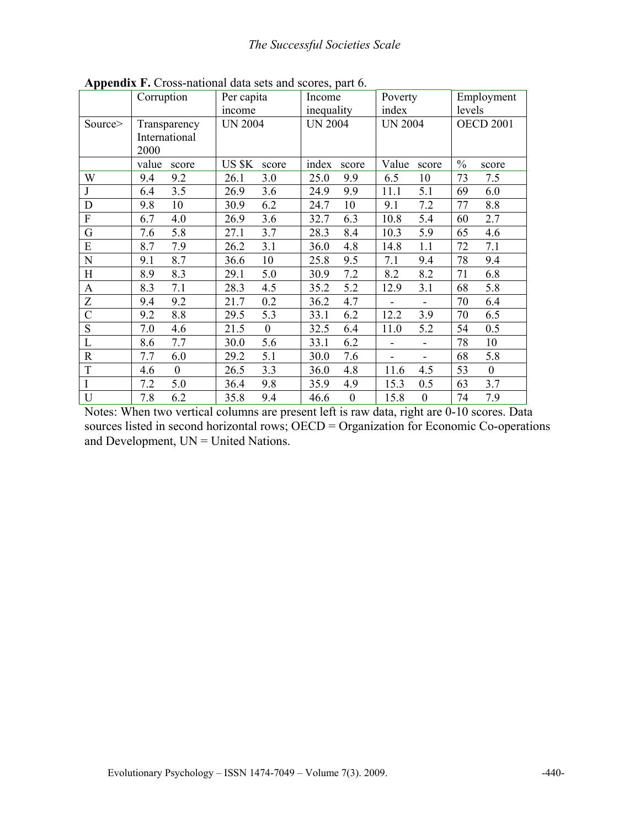|               | Corruption    | Per capita     | Income           | Poverty                  | Employment       |  |
|---------------|---------------|----------------|------------------|--------------------------|------------------|--|
|               |               | income         | inequality       | index                    | levels           |  |
| Source>       | Transparency  | <b>UN 2004</b> | <b>UN 2004</b>   | <b>UN 2004</b>           | <b>OECD 2001</b> |  |
|               | International |                |                  |                          |                  |  |
|               | 2000          |                |                  |                          |                  |  |
|               | value         | US \$K         | index            | Value                    | $\frac{0}{0}$    |  |
|               | score         | score          | score            | score                    | score            |  |
| W             | 9.4           | 26.1           | 25.0             | 6.5                      | 73               |  |
|               | 9.2           | 3.0            | 9.9              | 10                       | 7.5              |  |
| J             | 3.5           | 26.9           | 9.9              | 11.1                     | 69               |  |
|               | 6.4           | 3.6            | 24.9             | 5.1                      | 6.0              |  |
| D             | 9.8           | 30.9           | 10               | 7.2                      | 77               |  |
|               | 10            | 6.2            | 24.7             | 9.1                      | 8.8              |  |
| ${\bf F}$     | 6.7           | 26.9           | 32.7             | 10.8                     | 2.7              |  |
|               | 4.0           | 3.6            | 6.3              | 5.4                      | 60               |  |
| G             | 5.8           | 27.1           | 28.3             | 10.3                     | 4.6              |  |
|               | 7.6           | 3.7            | 8.4              | 5.9                      | 65               |  |
| E             | 7.9           | 3.1            | 4.8              | 14.8                     | 72               |  |
|               | 8.7           | 26.2           | 36.0             | 1.1                      | 7.1              |  |
| $\mathbf N$   | 9.1           | 10             | 9.5              | 7.1                      | 78               |  |
|               | 8.7           | 36.6           | 25.8             | 9.4                      | 9.4              |  |
| H             | 8.9           | 5.0            | 7.2              | 8.2                      | 71               |  |
|               | 8.3           | 29.1           | 30.9             | 8.2                      | 6.8              |  |
| $\mathbf{A}$  | 8.3           | 28.3           | 5.2              | 12.9                     | 68               |  |
|               | 7.1           | 4.5            | 35.2             | 3.1                      | 5.8              |  |
| Z             | 9.4<br>9.2    | 21.7<br>0.2    | 4.7<br>36.2      |                          | 70<br>6.4        |  |
| $\mathcal{C}$ | 8.8           | 5.3            | 6.2              | 12.2                     | 70               |  |
|               | 9.2           | 29.5           | 33.1             | 3.9                      | 6.5              |  |
| S             | 7.0           | $\overline{0}$ | 32.5             | 11.0                     | 0.5              |  |
|               | 4.6           | 21.5           | 6.4              | 5.2                      | 54               |  |
| L             | 8.6           | 30.0           | 33.1             | $\overline{\phantom{a}}$ | 78               |  |
|               | 7.7           | 5.6            | 6.2              | $\overline{\phantom{a}}$ | 10               |  |
| $\mathbf R$   | 7.7<br>6.0    | 29.2<br>5.1    | 30.0<br>7.6      | ÷,                       | 68<br>5.8        |  |
| T             | $\theta$      | 3.3            | 4.8              | 11.6                     | 53               |  |
|               | 4.6           | 26.5           | 36.0             | 4.5                      | $\overline{0}$   |  |
| $\mathbf I$   | 5.0           | 36.4           | 35.9             | 15.3                     | 3.7              |  |
|               | 7.2           | 9.8            | 4.9              | 0.5                      | 63               |  |
| U             | 7.8           | 35.8           | $\boldsymbol{0}$ | 15.8                     | 74               |  |
|               | 6.2           | 9.4            | 46.6             | $\boldsymbol{0}$         | 7.9              |  |

**Appendix F.** Cross-national data sets and scores, part 6.

Notes: When two vertical columns are present left is raw data, right are 0-10 scores. Data sources listed in second horizontal rows; OECD = Organization for Economic Co-operations and Development, UN = United Nations.